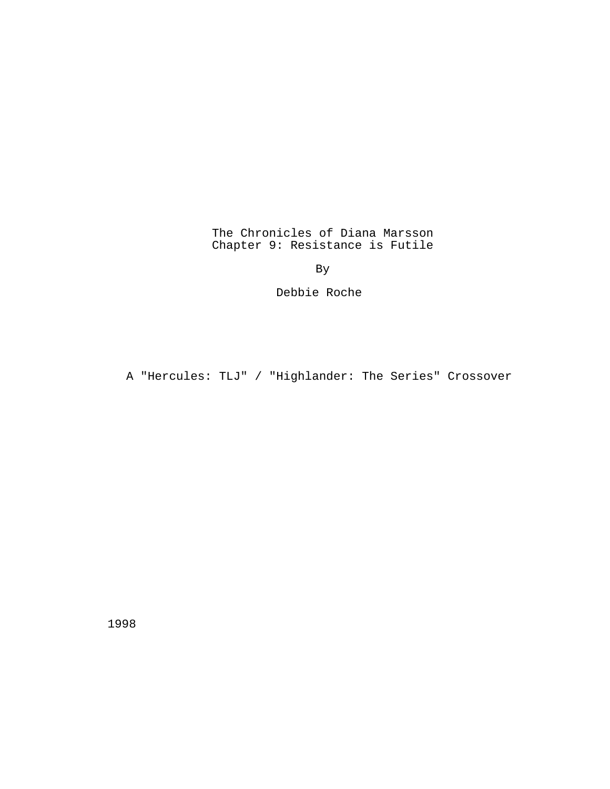The Chronicles of Diana Marsson Chapter 9: Resistance is Futile

By

Debbie Roche

A "Hercules: TLJ" / "Highlander: The Series" Crossover

1998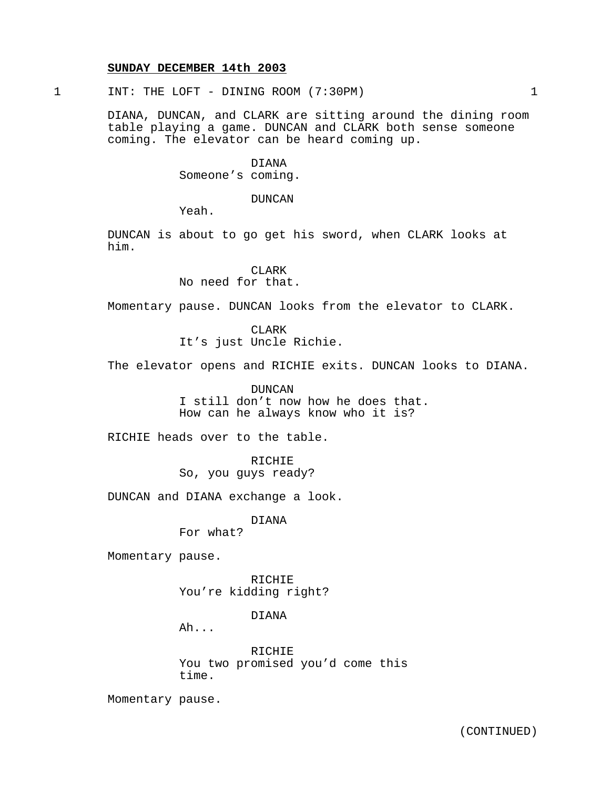#### **SUNDAY DECEMBER 14th 2003**

1 INT: THE LOFT - DINING ROOM (7:30PM) 1

DIANA, DUNCAN, and CLARK are sitting around the dining room table playing a game. DUNCAN and CLARK both sense someone coming. The elevator can be heard coming up.

> DIANA Someone's coming.

> > DUNCAN

Yeah.

DUNCAN is about to go get his sword, when CLARK looks at him.

> **CLARK** No need for that.

Momentary pause. DUNCAN looks from the elevator to CLARK.

CLARK It's just Uncle Richie.

The elevator opens and RICHIE exits. DUNCAN looks to DIANA.

DUNCAN I still don't now how he does that. How can he always know who it is?

RICHIE heads over to the table.

RICHIE So, you guys ready?

DUNCAN and DIANA exchange a look.

DIANA

For what?

Momentary pause.

RICHIE You're kidding right?

DIANA

Ah...

RICHIE You two promised you'd come this time.

Momentary pause.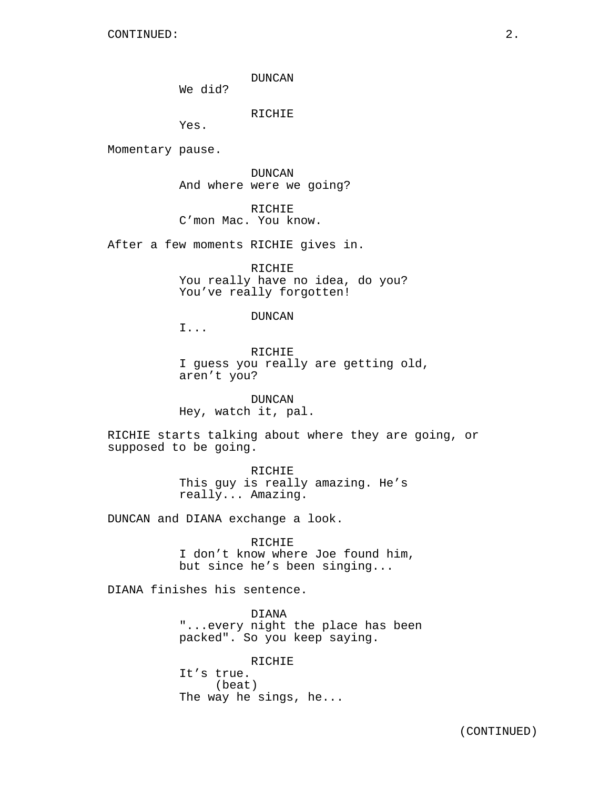CONTINUED: 2.

DUNCAN

We did?

RICHIE

Yes.

Momentary pause.

DUNCAN And where were we going?

RICHIE C'mon Mac. You know.

After a few moments RICHIE gives in.

RICHIE You really have no idea, do you? You've really forgotten!

DUNCAN

I...

RICHIE I guess you really are getting old, aren't you?

DUNCAN Hey, watch it, pal.

RICHIE starts talking about where they are going, or supposed to be going.

> RICHIE This guy is really amazing. He's really... Amazing.

DUNCAN and DIANA exchange a look.

RICHIE I don't know where Joe found him, but since he's been singing...

DIANA finishes his sentence.

DIANA "...every night the place has been packed". So you keep saying.

RICHIE It's true. (beat) The way he sings, he...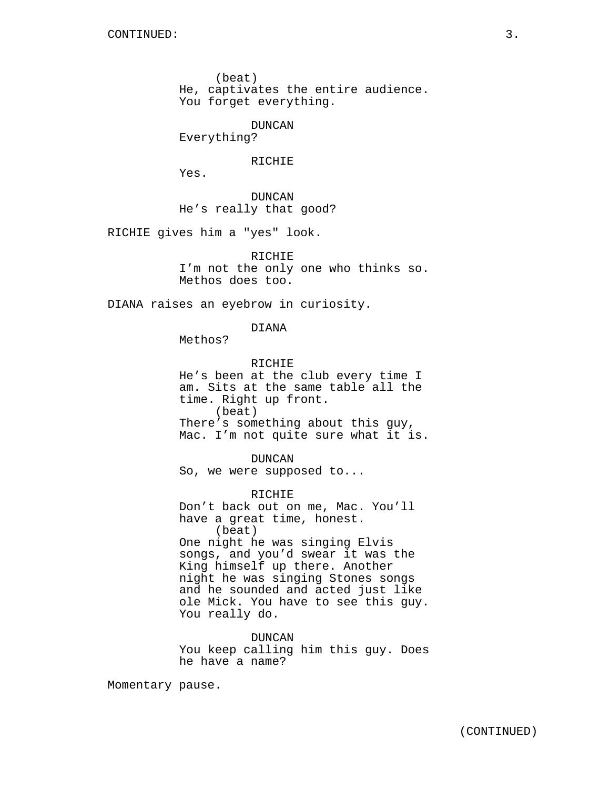(beat)

He, captivates the entire audience. You forget everything.

DUNCAN

Everything?

# RICHIE

Yes.

DUNCAN He's really that good?

RICHIE gives him a "yes" look.

RICHIE I'm not the only one who thinks so. Methos does too.

DIANA raises an eyebrow in curiosity.

DIANA

Methos?

RICHIE He's been at the club every time I am. Sits at the same table all the time. Right up front. (beat) There's something about this guy, Mac. I'm not quite sure what it is.

DUNCAN So, we were supposed to...

RICHIE Don't back out on me, Mac. You'll have a great time, honest. (beat) One night he was singing Elvis songs, and you'd swear it was the King himself up there. Another night he was singing Stones songs and he sounded and acted just like ole Mick. You have to see this guy. You really do.

DUNCAN You keep calling him this guy. Does he have a name?

Momentary pause.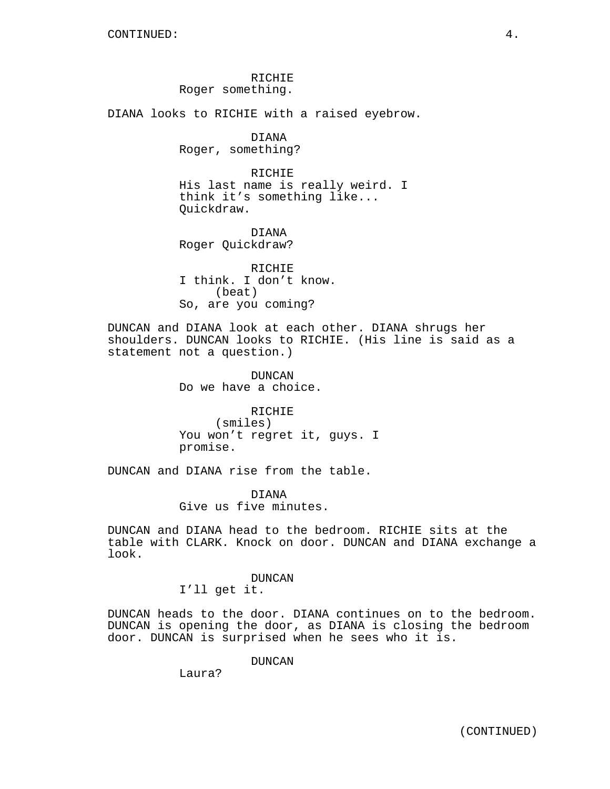RICHIE Roger something.

DIANA looks to RICHIE with a raised eyebrow.

DIANA Roger, something?

RICHIE His last name is really weird. I think it's something like... Quickdraw.

DIANA Roger Quickdraw?

RICHIE I think. I don't know. (beat) So, are you coming?

DUNCAN and DIANA look at each other. DIANA shrugs her shoulders. DUNCAN looks to RICHIE. (His line is said as a statement not a question.)

> DUNCAN Do we have a choice.

RICHIE (smiles) You won't regret it, guys. I promise.

DUNCAN and DIANA rise from the table.

DIANA Give us five minutes.

DUNCAN and DIANA head to the bedroom. RICHIE sits at the table with CLARK. Knock on door. DUNCAN and DIANA exchange a look.

> DUNCAN I'll get it.

DUNCAN heads to the door. DIANA continues on to the bedroom. DUNCAN is opening the door, as DIANA is closing the bedroom door. DUNCAN is surprised when he sees who it is.

DUNCAN

Laura?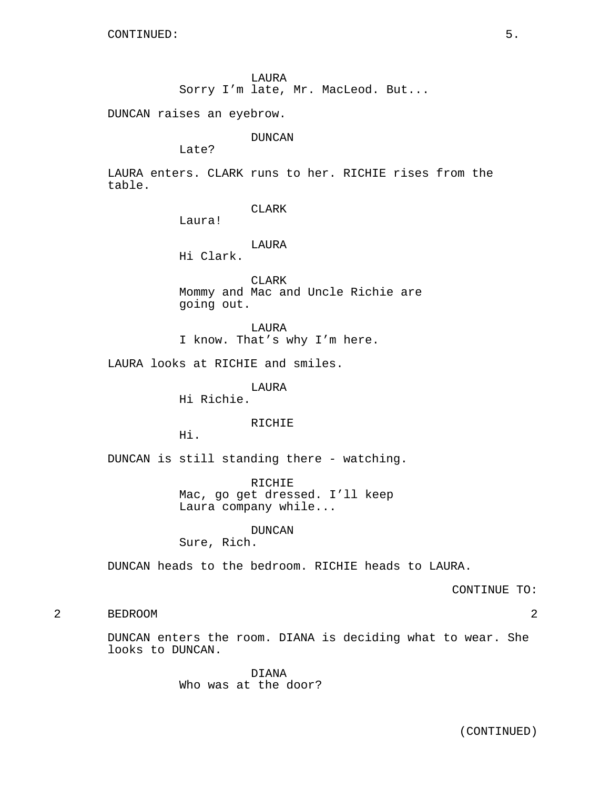LAURA

Sorry I'm late, Mr. MacLeod. But...

DUNCAN raises an eyebrow.

DUNCAN

Late?

LAURA enters. CLARK runs to her. RICHIE rises from the table.

CLARK

Laura!

LAURA

Hi Clark.

CLARK Mommy and Mac and Uncle Richie are going out.

LAURA I know. That's why I'm here.

LAURA looks at RICHIE and smiles.

LAURA

Hi Richie.

RICHIE

Hi.

DUNCAN is still standing there - watching.

RICHIE Mac, go get dressed. I'll keep Laura company while...

DUNCAN

Sure, Rich.

DUNCAN heads to the bedroom. RICHIE heads to LAURA.

CONTINUE TO:

# 2 BEDROOM 2

DUNCAN enters the room. DIANA is deciding what to wear. She looks to DUNCAN.

> DIANA Who was at the door?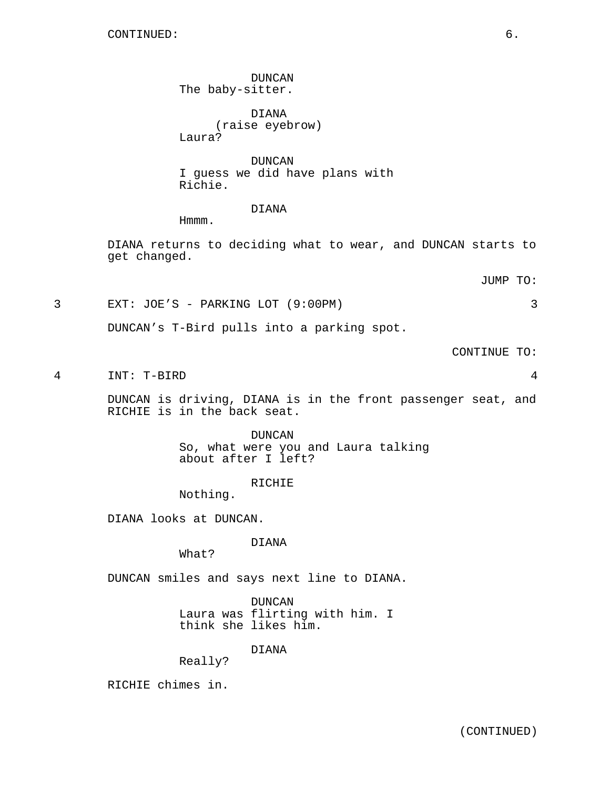DUNCAN The baby-sitter.

DIANA (raise eyebrow) Laura?

DUNCAN I guess we did have plans with Richie.

## DIANA

Hmmm.

DIANA returns to deciding what to wear, and DUNCAN starts to get changed.

JUMP TO:

3 EXT: JOE'S - PARKING LOT (9:00PM) 3

DUNCAN's T-Bird pulls into a parking spot.

CONTINUE TO:

4 INT: T-BIRD 4

DUNCAN is driving, DIANA is in the front passenger seat, and RICHIE is in the back seat.

> DUNCAN So, what were you and Laura talking about after I left?

> > RICHIE

Nothing.

DIANA looks at DUNCAN.

DIANA

What?

DUNCAN smiles and says next line to DIANA.

DUNCAN Laura was flirting with him. I think she likes him.

DIANA

Really?

RICHIE chimes in.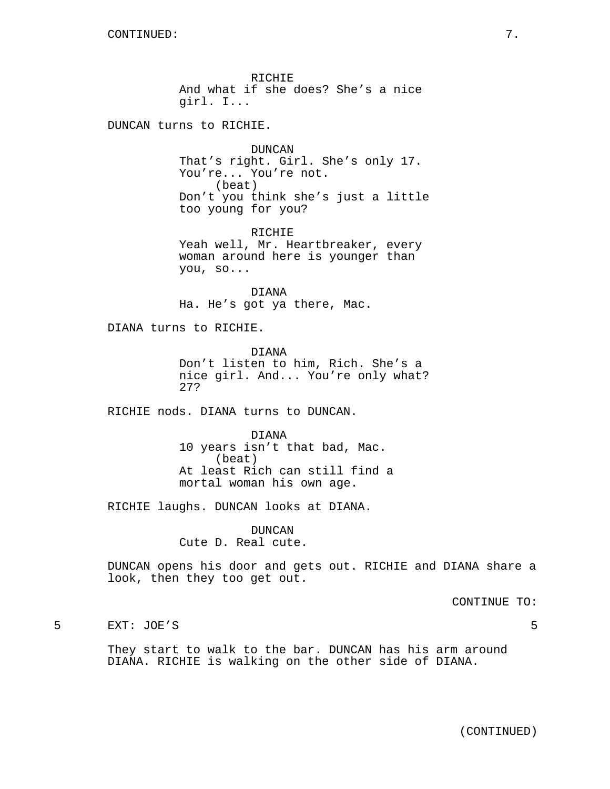RICHIE And what if she does? She's a nice girl. I...

DUNCAN turns to RICHIE.

DUNCAN That's right. Girl. She's only 17. You're... You're not. (beat) Don't you think she's just a little too young for you?

RICHIE Yeah well, Mr. Heartbreaker, every woman around here is younger than you, so...

DIANA Ha. He's got ya there, Mac.

DIANA turns to RICHIE.

DIANA Don't listen to him, Rich. She's a nice girl. And... You're only what? 27?

RICHIE nods. DIANA turns to DUNCAN.

DIANA 10 years isn't that bad, Mac. (beat) At least Rich can still find a mortal woman his own age.

RICHIE laughs. DUNCAN looks at DIANA.

DUNCAN Cute D. Real cute.

DUNCAN opens his door and gets out. RICHIE and DIANA share a look, then they too get out.

CONTINUE TO:

5 EXT: JOE'S 5

They start to walk to the bar. DUNCAN has his arm around DIANA. RICHIE is walking on the other side of DIANA.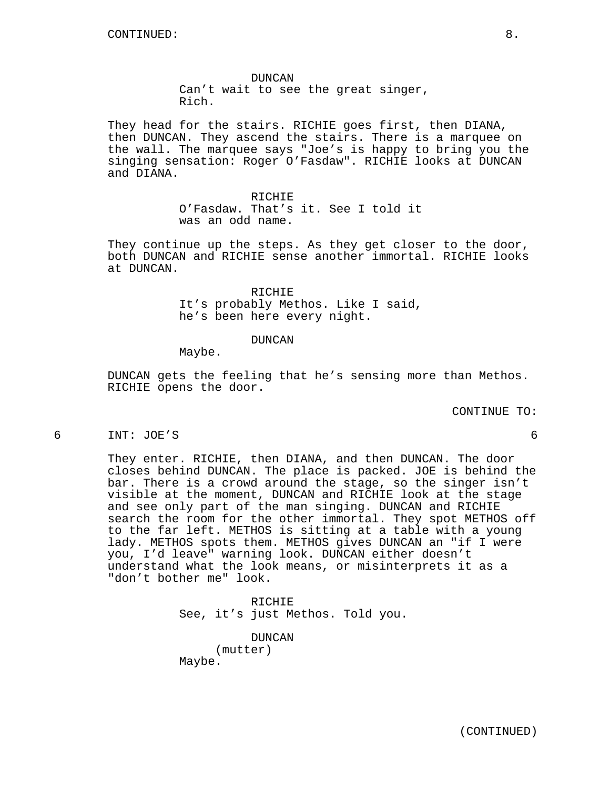DUNCAN Can't wait to see the great singer, Rich.

They head for the stairs. RICHIE goes first, then DIANA, then DUNCAN. They ascend the stairs. There is a marquee on the wall. The marquee says "Joe's is happy to bring you the singing sensation: Roger O'Fasdaw". RICHIE looks at DUNCAN and DIANA.

> RICHIE O'Fasdaw. That's it. See I told it was an odd name.

They continue up the steps. As they get closer to the door, both DUNCAN and RICHIE sense another immortal. RICHIE looks at DUNCAN.

> RICHIE It's probably Methos. Like I said, he's been here every night.

# DUNCAN

Maybe.

DUNCAN gets the feeling that he's sensing more than Methos. RICHIE opens the door.

CONTINUE TO:

6 INT: JOE'S 6

They enter. RICHIE, then DIANA, and then DUNCAN. The door closes behind DUNCAN. The place is packed. JOE is behind the bar. There is a crowd around the stage, so the singer isn't visible at the moment, DUNCAN and RICHIE look at the stage and see only part of the man singing. DUNCAN and RICHIE search the room for the other immortal. They spot METHOS off to the far left. METHOS is sitting at a table with a young lady. METHOS spots them. METHOS gives DUNCAN an "if I were you, I'd leave" warning look. DUNCAN either doesn't understand what the look means, or misinterprets it as a "don't bother me" look.

> RICHIE See, it's just Methos. Told you.

DUNCAN (mutter) Maybe.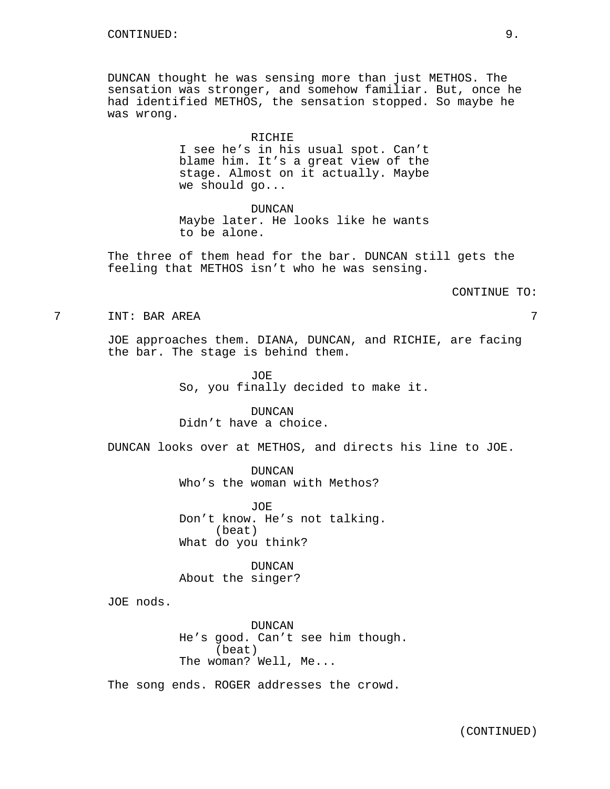DUNCAN thought he was sensing more than just METHOS. The sensation was stronger, and somehow familiar. But, once he had identified METHOS, the sensation stopped. So maybe he was wrong.

## RICHIE

I see he's in his usual spot. Can't blame him. It's a great view of the stage. Almost on it actually. Maybe we should go...

#### DUNCAN

Maybe later. He looks like he wants to be alone.

The three of them head for the bar. DUNCAN still gets the feeling that METHOS isn't who he was sensing.

CONTINUE TO:

7 INT: BAR AREA 7

JOE approaches them. DIANA, DUNCAN, and RICHIE, are facing the bar. The stage is behind them.

> JOE So, you finally decided to make it.

DUNCAN Didn't have a choice.

DUNCAN looks over at METHOS, and directs his line to JOE.

DUNCAN Who's the woman with Methos?

JOE Don't know. He's not talking. (beat) What do you think?

DUNCAN About the singer?

JOE nods.

DUNCAN He's good. Can't see him though. (beat) The woman? Well, Me...

The song ends. ROGER addresses the crowd.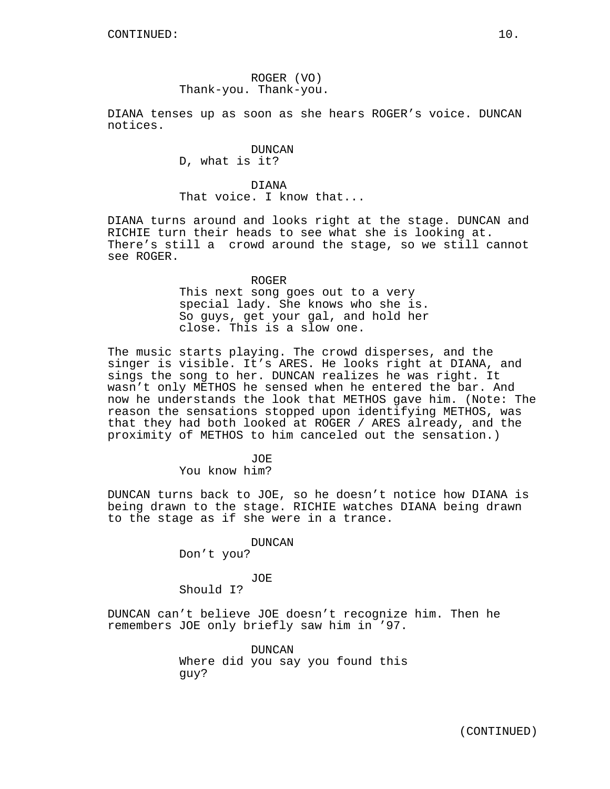ROGER (VO) Thank-you. Thank-you.

DIANA tenses up as soon as she hears ROGER's voice. DUNCAN notices.

> DUNCAN D, what is it?

DIANA That voice. I know that...

DIANA turns around and looks right at the stage. DUNCAN and RICHIE turn their heads to see what she is looking at. There's still a crowd around the stage, so we still cannot see ROGER.

ROGER

This next song goes out to a very special lady. She knows who she is. So guys, get your gal, and hold her close. This is a slow one.

The music starts playing. The crowd disperses, and the singer is visible. It's ARES. He looks right at DIANA, and sings the song to her. DUNCAN realizes he was right. It wasn't only METHOS he sensed when he entered the bar. And now he understands the look that METHOS gave him. (Note: The reason the sensations stopped upon identifying METHOS, was that they had both looked at ROGER / ARES already, and the proximity of METHOS to him canceled out the sensation.)

> JOE You know him?

DUNCAN turns back to JOE, so he doesn't notice how DIANA is being drawn to the stage. RICHIE watches DIANA being drawn to the stage as if she were in a trance.

DUNCAN

Don't you?

JOE

Should I?

DUNCAN can't believe JOE doesn't recognize him. Then he remembers JOE only briefly saw him in '97.

> DUNCAN Where did you say you found this guy?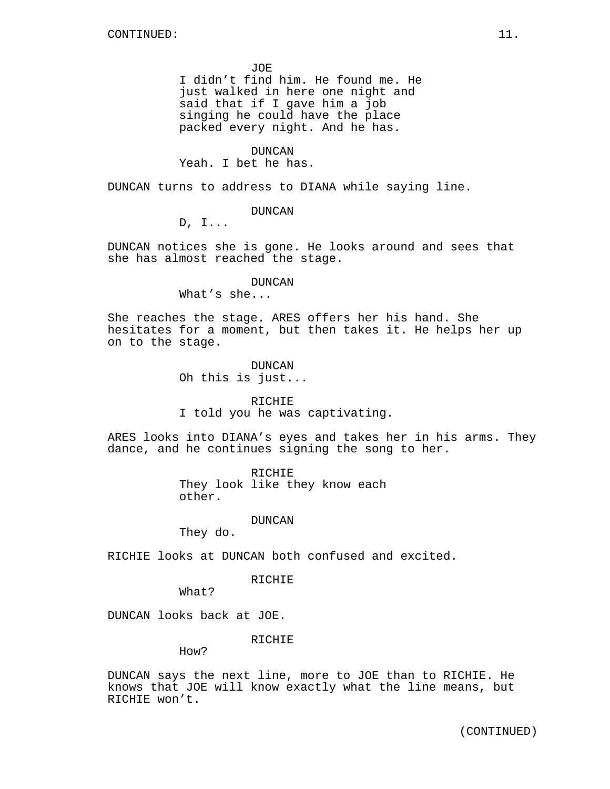JOE

I didn't find him. He found me. He just walked in here one night and said that if I gave him a job singing he could have the place packed every night. And he has.

## DUNCAN

Yeah. I bet he has.

DUNCAN turns to address to DIANA while saying line.

DUNCAN

D, I...

DUNCAN notices she is gone. He looks around and sees that she has almost reached the stage.

### DUNCAN

What's she...

She reaches the stage. ARES offers her his hand. She hesitates for a moment, but then takes it. He helps her up on to the stage.

> DUNCAN Oh this is just...

#### RICHIE

I told you he was captivating.

ARES looks into DIANA's eyes and takes her in his arms. They dance, and he continues signing the song to her.

> RICHIE They look like they know each other.

## DUNCAN

They do.

RICHIE looks at DUNCAN both confused and excited.

RICHIE

What?

DUNCAN looks back at JOE.

RICHIE

How?

DUNCAN says the next line, more to JOE than to RICHIE. He knows that JOE will know exactly what the line means, but RICHIE won't.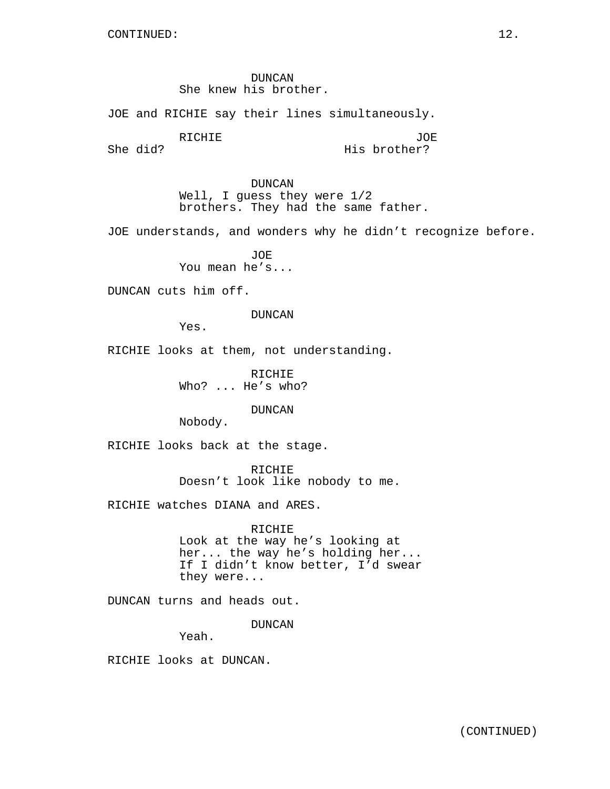DUNCAN She knew his brother.

JOE and RICHIE say their lines simultaneously.

RICHIE

JOE His brother?

She did?

DUNCAN Well, I guess they were 1/2 brothers. They had the same father.

JOE understands, and wonders why he didn't recognize before.

JOE You mean he's...

DUNCAN cuts him off.

DUNCAN

Yes.

RICHIE looks at them, not understanding.

RICHIE Who? ... He's who?

DUNCAN

Nobody.

RICHIE looks back at the stage.

RICHIE Doesn't look like nobody to me.

RICHIE watches DIANA and ARES.

RICHIE Look at the way he's looking at her... the way he's holding her... If I didn't know better, I'd swear they were...

DUNCAN turns and heads out.

DUNCAN

Yeah.

RICHIE looks at DUNCAN.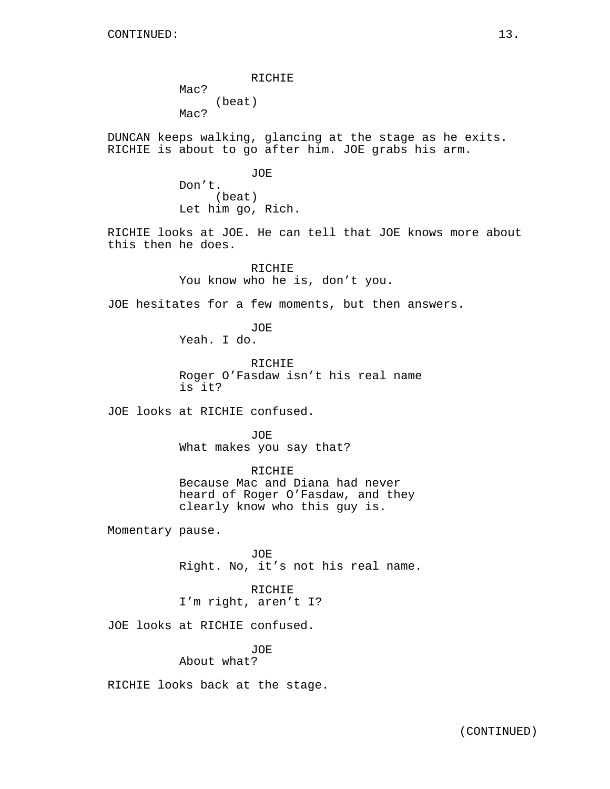RICHIE Mac? (beat) Mac?

DUNCAN keeps walking, glancing at the stage as he exits. RICHIE is about to go after him. JOE grabs his arm.

> JOE Don't. (beat) Let him go, Rich.

RICHIE looks at JOE. He can tell that JOE knows more about this then he does.

> RICHIE You know who he is, don't you.

JOE hesitates for a few moments, but then answers.

JOE Yeah. I do.

RICHIE Roger O'Fasdaw isn't his real name is it?

JOE looks at RICHIE confused.

JOE. What makes you say that?

RICHIE Because Mac and Diana had never heard of Roger O'Fasdaw, and they clearly know who this guy is.

Momentary pause.

JOE Right. No, it's not his real name.

RICHIE I'm right, aren't I?

JOE looks at RICHIE confused.

JOE About what?

RICHIE looks back at the stage.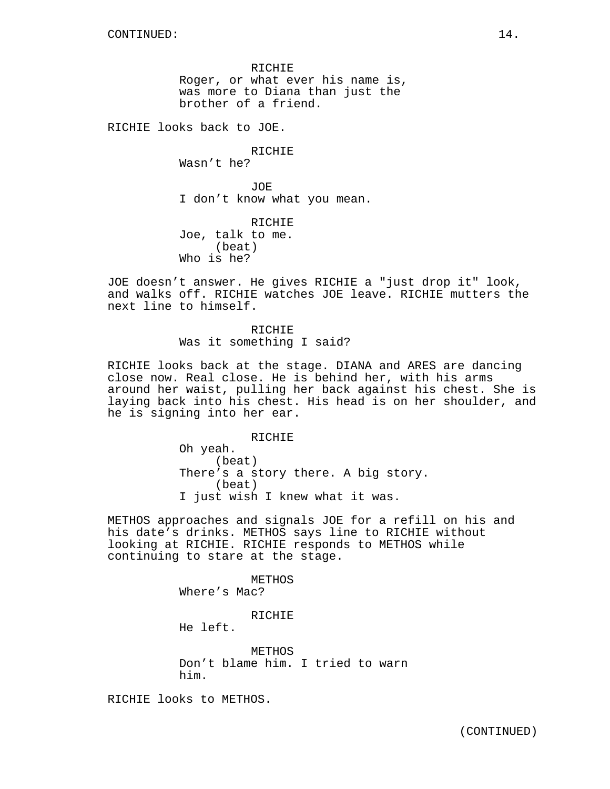RICHIE Roger, or what ever his name is, was more to Diana than just the brother of a friend.

RICHIE looks back to JOE.

RICHIE Wasn't he?

JOE I don't know what you mean.

RICHIE Joe, talk to me. (beat) Who is he?

JOE doesn't answer. He gives RICHIE a "just drop it" look, and walks off. RICHIE watches JOE leave. RICHIE mutters the next line to himself.

> RICHIE Was it something I said?

RICHIE looks back at the stage. DIANA and ARES are dancing close now. Real close. He is behind her, with his arms around her waist, pulling her back against his chest. She is laying back into his chest. His head is on her shoulder, and he is signing into her ear.

> RICHIE Oh yeah. (beat) There's a story there. A big story. (beat) I just wish I knew what it was.

METHOS approaches and signals JOE for a refill on his and his date's drinks. METHOS says line to RICHIE without looking at RICHIE. RICHIE responds to METHOS while continuing to stare at the stage.

> METHOS Where's Mac?

> > RICHIE

He left.

METHOS Don't blame him. I tried to warn him.

RICHIE looks to METHOS.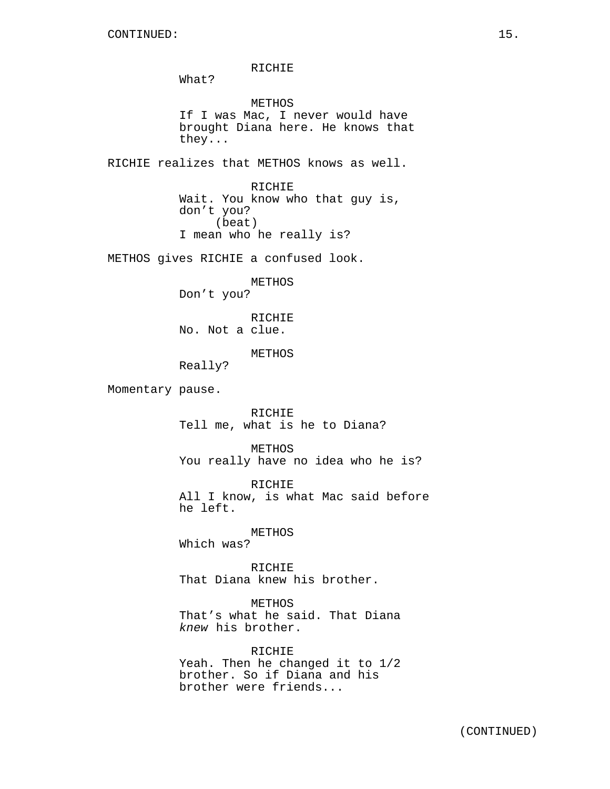RICHIE What? METHOS If I was Mac, I never would have brought Diana here. He knows that they... RICHIE realizes that METHOS knows as well. RICHIE Wait. You know who that guy is, don't you? (beat) I mean who he really is? METHOS gives RICHIE a confused look. METHOS Don't you? RICHIE No. Not a clue. METHOS Really? Momentary pause. RICHIE Tell me, what is he to Diana? METHOS You really have no idea who he is? RICHIE All I know, is what Mac said before he left. METHOS Which was? RICHIE That Diana knew his brother. METHOS That's what he said. That Diana knew his brother. RICHIE Yeah. Then he changed it to 1/2 brother. So if Diana and his brother were friends...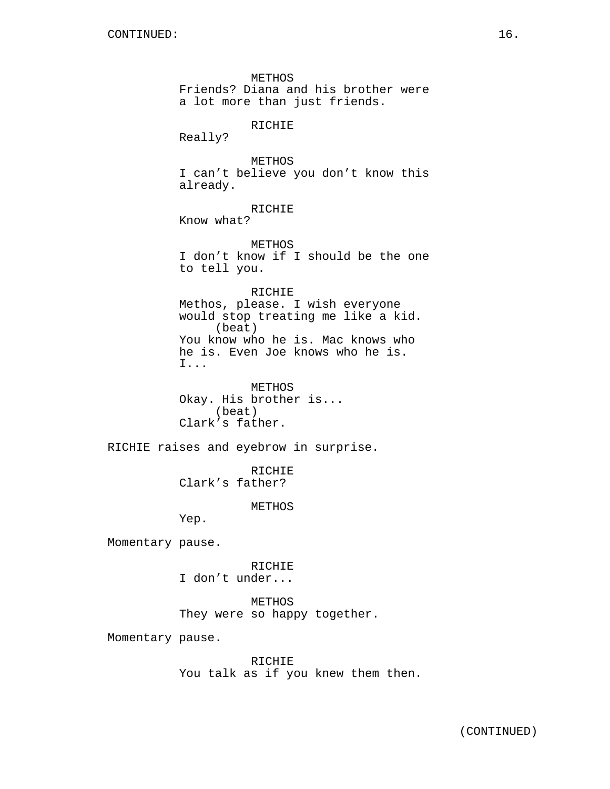METHOS Friends? Diana and his brother were a lot more than just friends. RICHIE Really? METHOS I can't believe you don't know this already. RICHIE Know what? METHOS I don't know if I should be the one to tell you. RICHIE Methos, please. I wish everyone would stop treating me like a kid. (beat) You know who he is. Mac knows who he is. Even Joe knows who he is. I... METHOS Okay. His brother is... (beat) Clark's father. RICHIE raises and eyebrow in surprise. RICHIE Clark's father? METHOS Yep. Momentary pause. RICHIE I don't under... METHOS They were so happy together. Momentary pause.

RICHIE You talk as if you knew them then.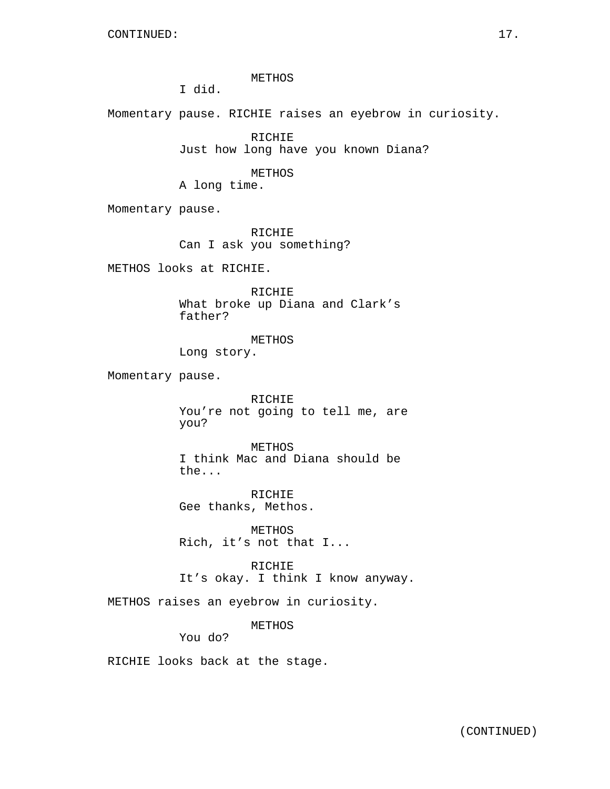METHOS

I did.

Momentary pause. RICHIE raises an eyebrow in curiosity.

RICHIE Just how long have you known Diana?

METHOS

A long time.

Momentary pause.

RICHIE Can I ask you something?

METHOS looks at RICHIE.

RICHIE What broke up Diana and Clark's father?

METHOS Long story.

Momentary pause.

RICHIE You're not going to tell me, are you?

METHOS I think Mac and Diana should be the...

RICHIE Gee thanks, Methos.

METHOS Rich, it's not that I...

RICHIE It's okay. I think I know anyway.

METHOS raises an eyebrow in curiosity.

METHOS

You do?

RICHIE looks back at the stage.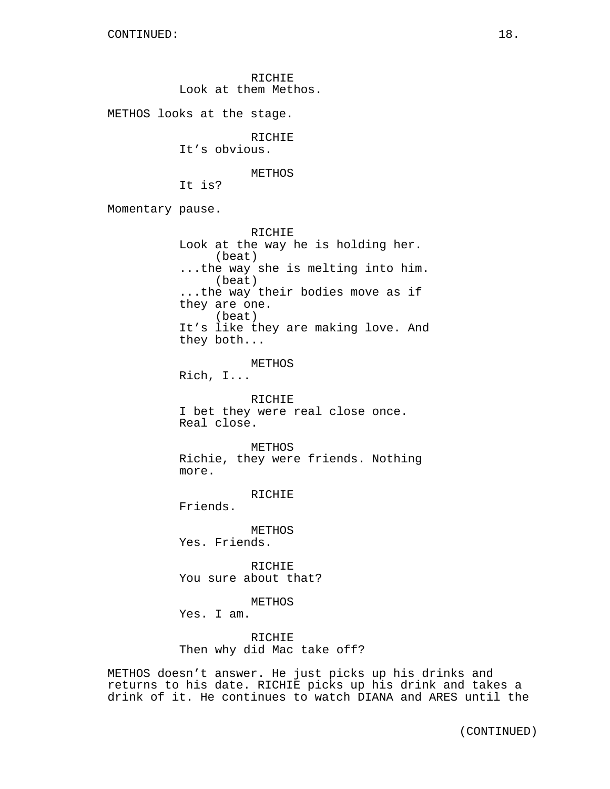RICHIE Look at them Methos. METHOS looks at the stage. RICHIE It's obvious. METHOS It is? Momentary pause. RICHIE Look at the way he is holding her. (beat) ...the way she is melting into him. (beat) ...the way their bodies move as if they are one. (beat) It's like they are making love. And they both... METHOS Rich, I... RICHIE I bet they were real close once. Real close. METHOS Richie, they were friends. Nothing more. RICHIE Friends. METHOS Yes. Friends. **RICHIE** You sure about that? METHOS Yes. I am. RICHIE Then why did Mac take off?

METHOS doesn't answer. He just picks up his drinks and returns to his date. RICHIE picks up his drink and takes a drink of it. He continues to watch DIANA and ARES until the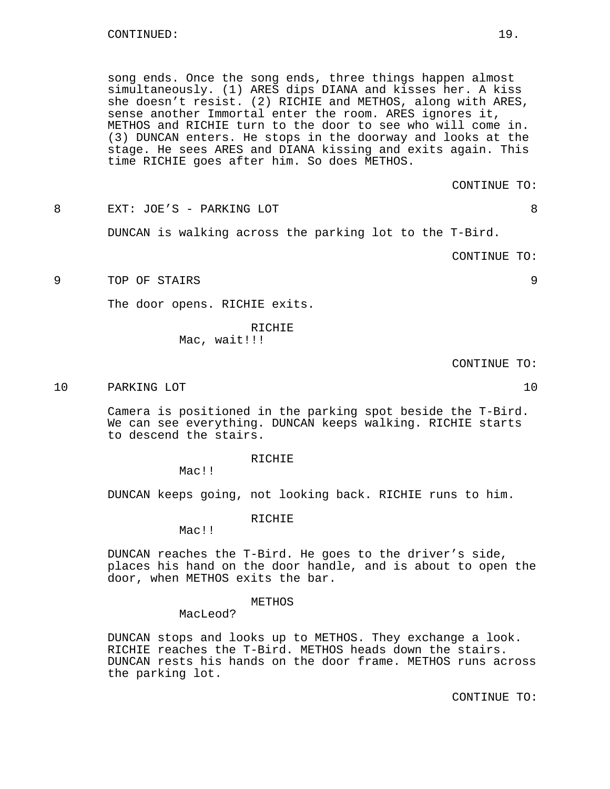song ends. Once the song ends, three things happen almost simultaneously. (1) ARES dips DIANA and kisses her. A kiss she doesn't resist. (2) RICHIE and METHOS, along with ARES, sense another Immortal enter the room. ARES ignores it, METHOS and RICHIE turn to the door to see who will come in. (3) DUNCAN enters. He stops in the doorway and looks at the stage. He sees ARES and DIANA kissing and exits again. This time RICHIE goes after him. So does METHOS.

CONTINUE TO:

8 EXT: JOE'S - PARKING LOT 8

DUNCAN is walking across the parking lot to the T-Bird.

CONTINUE TO:

9 TOP OF STAIRS 9

The door opens. RICHIE exits.

RICHIE Mac, wait!!!

CONTINUE TO:

10 PARKING LOT 20 PARKING 10

Camera is positioned in the parking spot beside the T-Bird. We can see everything. DUNCAN keeps walking. RICHIE starts to descend the stairs.

RICHIE

Mac!!

DUNCAN keeps going, not looking back. RICHIE runs to him.

RICHIE

Mac!!

DUNCAN reaches the T-Bird. He goes to the driver's side, places his hand on the door handle, and is about to open the door, when METHOS exits the bar.

### METHOS

MacLeod?

DUNCAN stops and looks up to METHOS. They exchange a look. RICHIE reaches the T-Bird. METHOS heads down the stairs. DUNCAN rests his hands on the door frame. METHOS runs across the parking lot.

CONTINUE TO: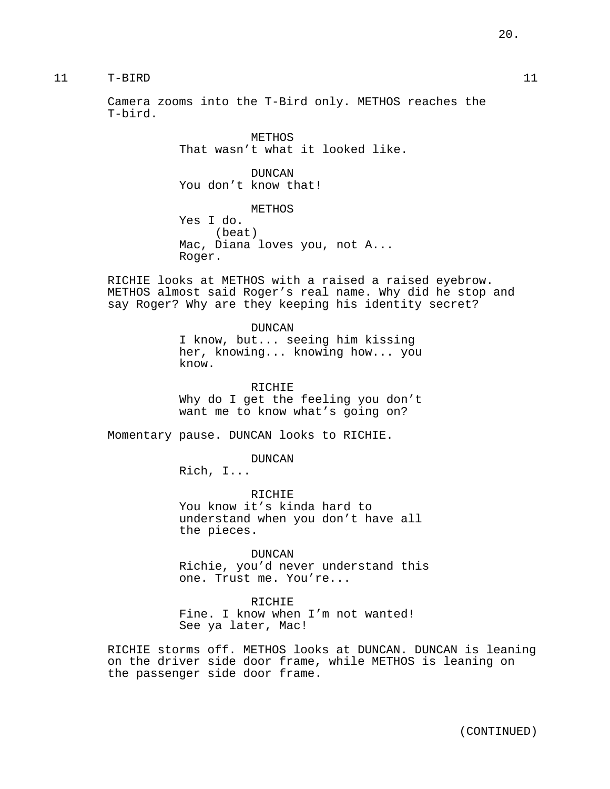# 11 T-BIRD 11

Camera zooms into the T-Bird only. METHOS reaches the T-bird.

> METHOS That wasn't what it looked like.

DUNCAN You don't know that!

METHOS Yes I do. (beat) Mac, Diana loves you, not A... Roger.

RICHIE looks at METHOS with a raised a raised eyebrow. METHOS almost said Roger's real name. Why did he stop and say Roger? Why are they keeping his identity secret?

> DUNCAN I know, but... seeing him kissing her, knowing... knowing how... you know.

> RICHIE Why do I get the feeling you don't want me to know what's going on?

Momentary pause. DUNCAN looks to RICHIE.

DUNCAN

Rich, I...

RICHIE You know it's kinda hard to understand when you don't have all the pieces.

DUNCAN Richie, you'd never understand this one. Trust me. You're...

RICHIE Fine. I know when I'm not wanted! See ya later, Mac!

RICHIE storms off. METHOS looks at DUNCAN. DUNCAN is leaning on the driver side door frame, while METHOS is leaning on the passenger side door frame.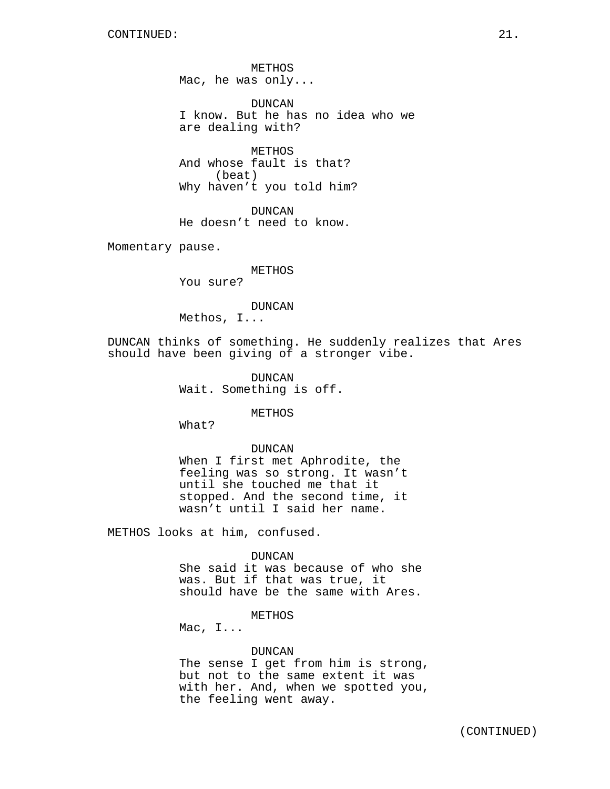METHOS Mac, he was only...

DUNCAN I know. But he has no idea who we are dealing with?

METHOS And whose fault is that? (beat) Why haven't you told him?

DUNCAN He doesn't need to know.

Momentary pause.

METHOS

You sure?

### DUNCAN

Methos, I...

DUNCAN thinks of something. He suddenly realizes that Ares should have been giving of a stronger vibe.

> DUNCAN Wait. Something is off.

> > METHOS

What?

#### DUNCAN

When I first met Aphrodite, the feeling was so strong. It wasn't until she touched me that it stopped. And the second time, it wasn't until I said her name.

METHOS looks at him, confused.

#### DUNCAN

She said it was because of who she was. But if that was true, it should have be the same with Ares.

# **METHOS**

Mac, I...

### DUNCAN

The sense I get from him is strong, but not to the same extent it was with her. And, when we spotted you, the feeling went away.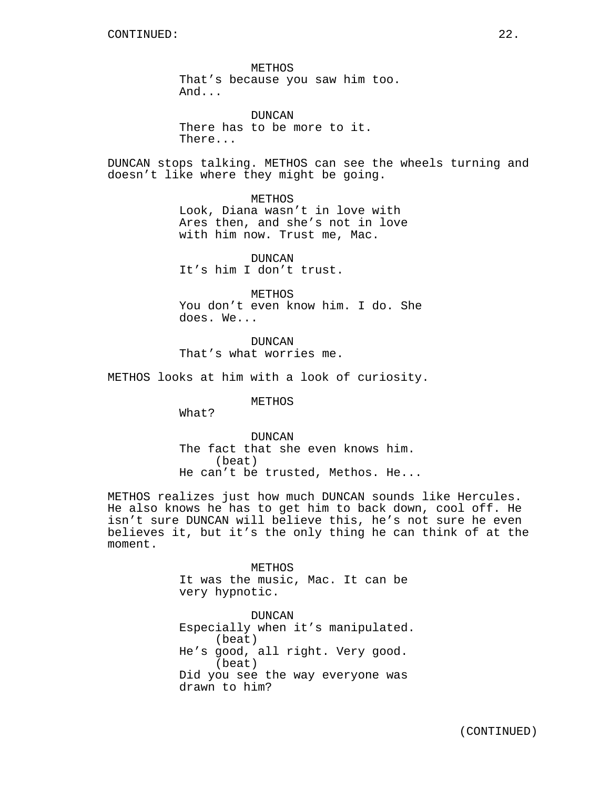METHOS That's because you saw him too. And...

DUNCAN There has to be more to it. There...

DUNCAN stops talking. METHOS can see the wheels turning and doesn't like where they might be going.

> METHOS Look, Diana wasn't in love with Ares then, and she's not in love with him now. Trust me, Mac.

DUNCAN It's him I don't trust.

METHOS You don't even know him. I do. She does. We...

DUNCAN That's what worries me.

METHOS looks at him with a look of curiosity.

METHOS

What?

DUNCAN The fact that she even knows him. (beat) He can't be trusted, Methos. He...

METHOS realizes just how much DUNCAN sounds like Hercules. He also knows he has to get him to back down, cool off. He isn't sure DUNCAN will believe this, he's not sure he even believes it, but it's the only thing he can think of at the moment.

> METHOS It was the music, Mac. It can be very hypnotic.

DUNCAN Especially when it's manipulated. (beat) He's good, all right. Very good. (beat) Did you see the way everyone was drawn to him?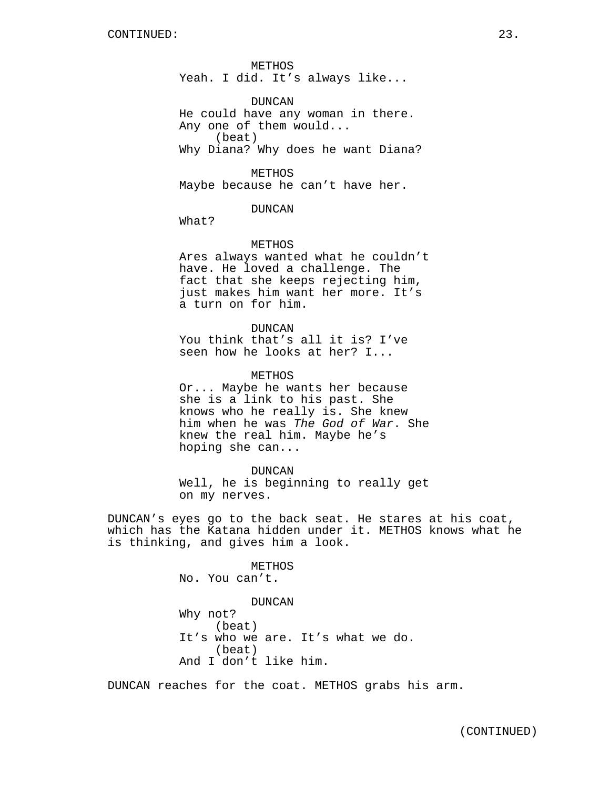METHOS Yeah. I did. It's always like...

DUNCAN He could have any woman in there. Any one of them would... (beat) Why Diana? Why does he want Diana?

METHOS Maybe because he can't have her.

DUNCAN

What?

## METHOS

Ares always wanted what he couldn't have. He loved a challenge. The fact that she keeps rejecting him, just makes him want her more. It's a turn on for him.

DUNCAN

You think that's all it is? I've seen how he looks at her? I...

METHOS

Or... Maybe he wants her because she is a link to his past. She knows who he really is. She knew him when he was The God of War. She knew the real him. Maybe he's hoping she can...

DUNCAN

Well, he is beginning to really get on my nerves.

DUNCAN's eyes go to the back seat. He stares at his coat, which has the Katana hidden under it. METHOS knows what he is thinking, and gives him a look.

> METHOS No. You can't.

DUNCAN Why not? (beat) It's who we are. It's what we do. (beat) And I don't like him.

DUNCAN reaches for the coat. METHOS grabs his arm.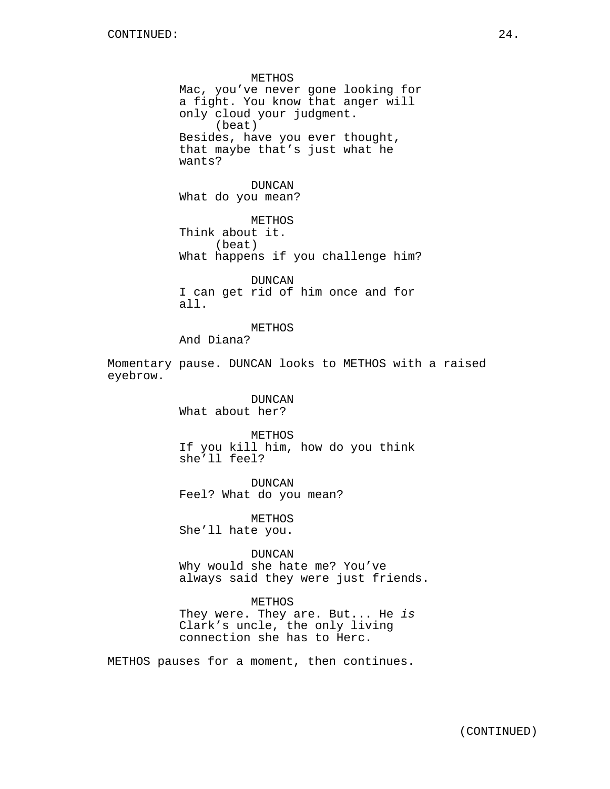METHOS Mac, you've never gone looking for a fight. You know that anger will only cloud your judgment. (beat) Besides, have you ever thought, that maybe that's just what he wants? DUNCAN What do you mean? METHOS Think about it. (beat) What happens if you challenge him? DUNCAN I can get rid of him once and for all. METHOS And Diana? Momentary pause. DUNCAN looks to METHOS with a raised eyebrow. DUNCAN What about her? METHOS If you kill him, how do you think she'll feel? DUNCAN Feel? What do you mean? METHOS She'll hate you. DUNCAN Why would she hate me? You've always said they were just friends. METHOS They were. They are. But... He is Clark's uncle, the only living

METHOS pauses for a moment, then continues.

connection she has to Herc.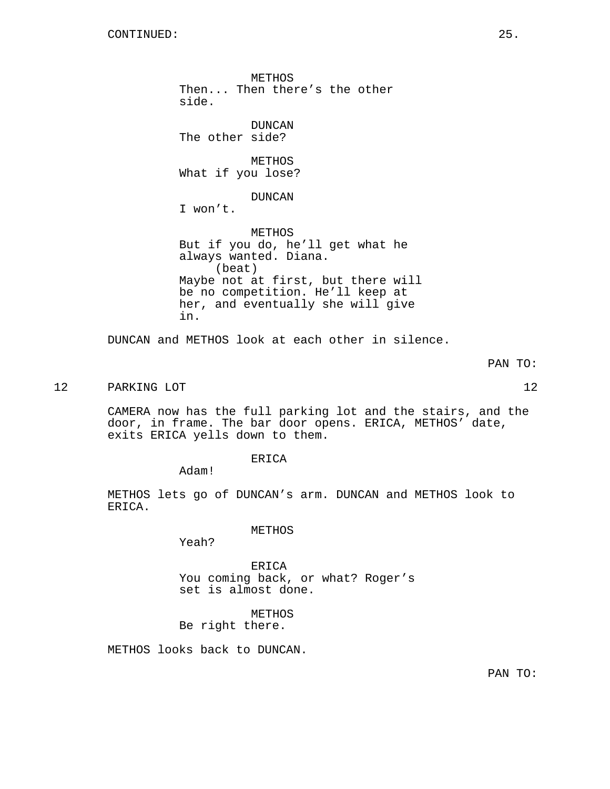METHOS Then... Then there's the other side. DUNCAN The other side? METHOS What if you lose? DUNCAN I won't. METHOS But if you do, he'll get what he always wanted. Diana. (beat) Maybe not at first, but there will be no competition. He'll keep at her, and eventually she will give in.

DUNCAN and METHOS look at each other in silence.

PAN TO:

# 12 PARKING LOT 22

CAMERA now has the full parking lot and the stairs, and the door, in frame. The bar door opens. ERICA, METHOS' date, exits ERICA yells down to them.

ERICA

Adam!

METHOS lets go of DUNCAN's arm. DUNCAN and METHOS look to ERICA.

METHOS

Yeah?

ERICA You coming back, or what? Roger's set is almost done.

METHOS Be right there.

METHOS looks back to DUNCAN.

PAN TO: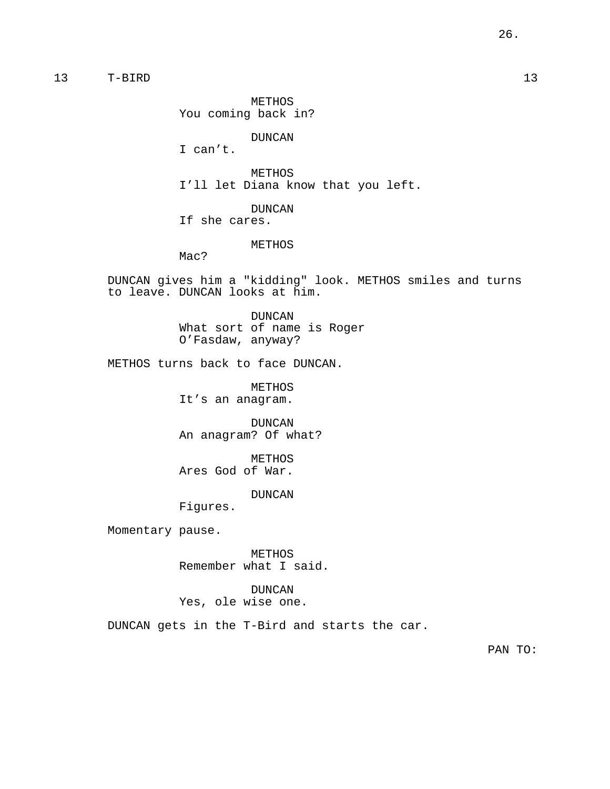13 T-BIRD 13

METHOS You coming back in?

DUNCAN

I can't.

METHOS I'll let Diana know that you left.

DUNCAN If she cares.

METHOS

Mac?

DUNCAN gives him a "kidding" look. METHOS smiles and turns to leave. DUNCAN looks at him.

> DUNCAN What sort of name is Roger O'Fasdaw, anyway?

METHOS turns back to face DUNCAN.

METHOS It's an anagram.

DUNCAN An anagram? Of what?

METHOS Ares God of War.

DUNCAN

Figures.

Momentary pause.

METHOS Remember what I said.

DUNCAN Yes, ole wise one.

DUNCAN gets in the T-Bird and starts the car.

PAN TO: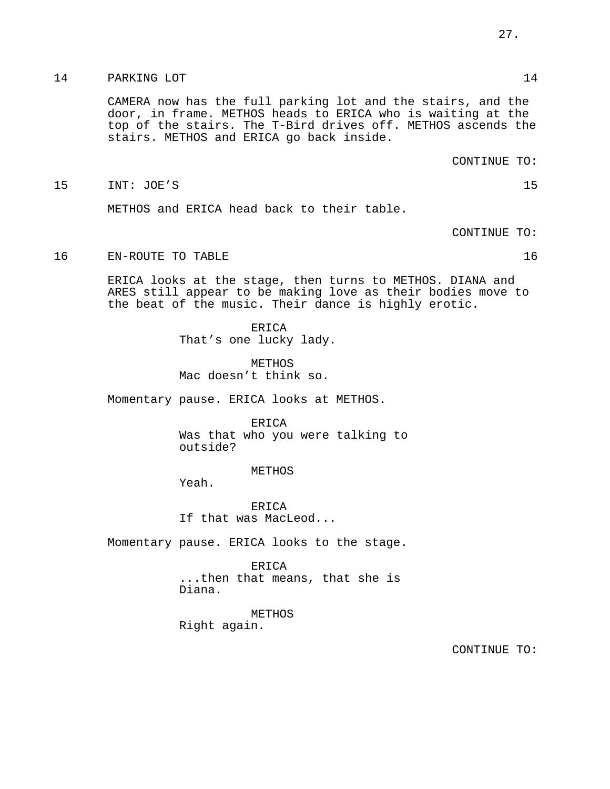# 14 PARKING LOT 21 PARKING 2 PARKING 2 PARKING 2 PARKING 2 PARKING 2 PARKING 2 PARKING 2 PARKING 2 PARKING 2 PARKING 2 PARKING 2 PARKING 2 PARKING 2 PARKING 2 PARKING 2 PARKING 2 PARKING 2 PARKING 2 PARKING 2 PARKING 2 PARK

CAMERA now has the full parking lot and the stairs, and the door, in frame. METHOS heads to ERICA who is waiting at the top of the stairs. The T-Bird drives off. METHOS ascends the stairs. METHOS and ERICA go back inside.

CONTINUE TO:

15 INT: JOE'S 15

METHOS and ERICA head back to their table.

CONTINUE TO:

16 EN-ROUTE TO TABLE 16 and 16 and 16 and 16 and 16 and 16 and 16 and 16 and 16 and 16 and 16 and 16 and 16 and 16 and 16 and 16 and 16 and 16 and 16 and 16 and 16 and 16 and 16 and 16 and 16 and 16 and 16 and 16 and 16 an

ERICA looks at the stage, then turns to METHOS. DIANA and ARES still appear to be making love as their bodies move to the beat of the music. Their dance is highly erotic.

> ERICA That's one lucky lady.

METHOS Mac doesn't think so.

Momentary pause. ERICA looks at METHOS.

ERICA Was that who you were talking to outside?

METHOS

Yeah.

ERICA If that was MacLeod...

Momentary pause. ERICA looks to the stage.

**ERICA** ...then that means, that she is Diana.

METHOS Right again.

CONTINUE TO: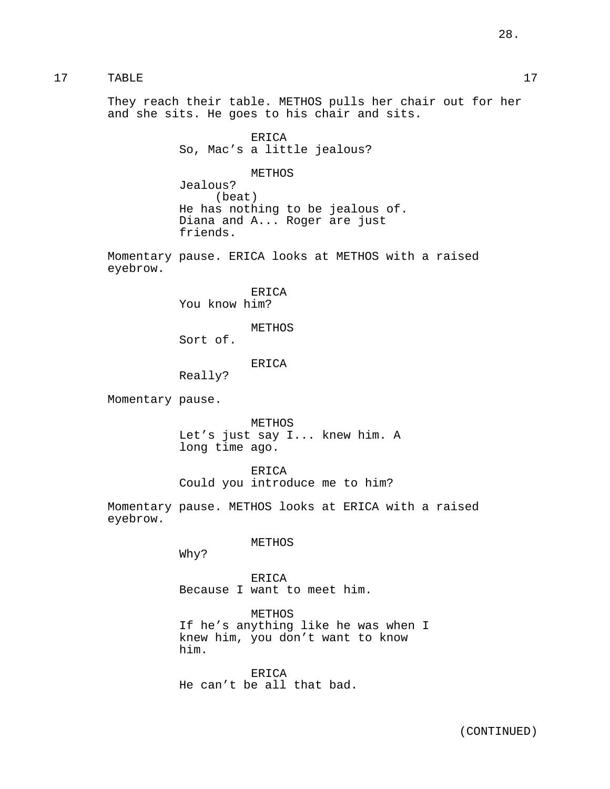17 TABLE 17

They reach their table. METHOS pulls her chair out for her and she sits. He goes to his chair and sits.

> ERICA So, Mac's a little jealous?

METHOS Jealous? (beat) He has nothing to be jealous of. Diana and A... Roger are just friends.

Momentary pause. ERICA looks at METHOS with a raised eyebrow.

> ERICA You know him?

> > METHOS

Sort of.

ERICA

Really?

Momentary pause.

METHOS Let's just say I... knew him. A long time ago.

ERICA

Could you introduce me to him?

Momentary pause. METHOS looks at ERICA with a raised eyebrow.

METHOS

Why?

ERICA Because I want to meet him.

METHOS If he's anything like he was when I knew him, you don't want to know him.

ERICA He can't be all that bad.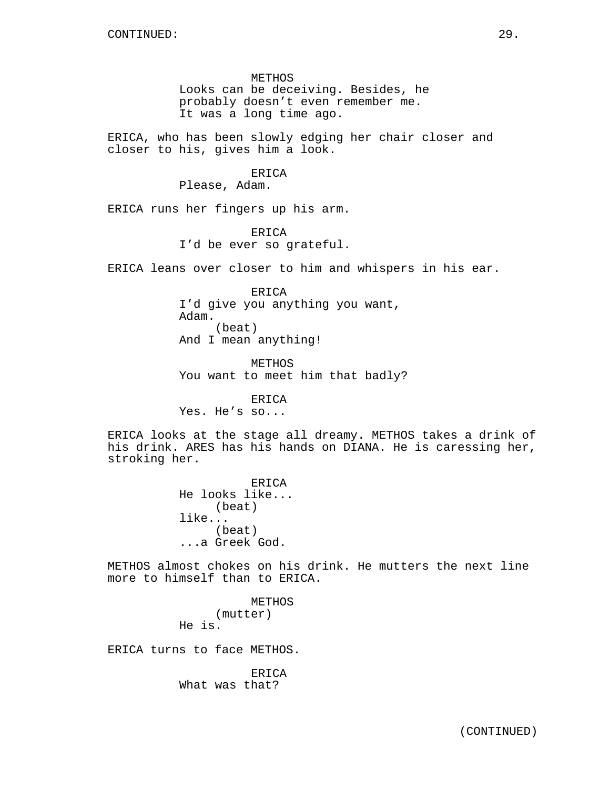METHOS Looks can be deceiving. Besides, he probably doesn't even remember me. It was a long time ago.

ERICA, who has been slowly edging her chair closer and closer to his, gives him a look.

# ERICA

Please, Adam.

ERICA runs her fingers up his arm.

ERICA I'd be ever so grateful.

ERICA leans over closer to him and whispers in his ear.

ERICA I'd give you anything you want, Adam. (beat) And I mean anything!

METHOS You want to meet him that badly?

ERICA Yes. He's so...

ERICA looks at the stage all dreamy. METHOS takes a drink of his drink. ARES has his hands on DIANA. He is caressing her, stroking her.

> ERICA He looks like... (beat) like... (beat) ...a Greek God.

METHOS almost chokes on his drink. He mutters the next line more to himself than to ERICA.

> METHOS (mutter) He is.

ERICA turns to face METHOS.

ERICA What was that?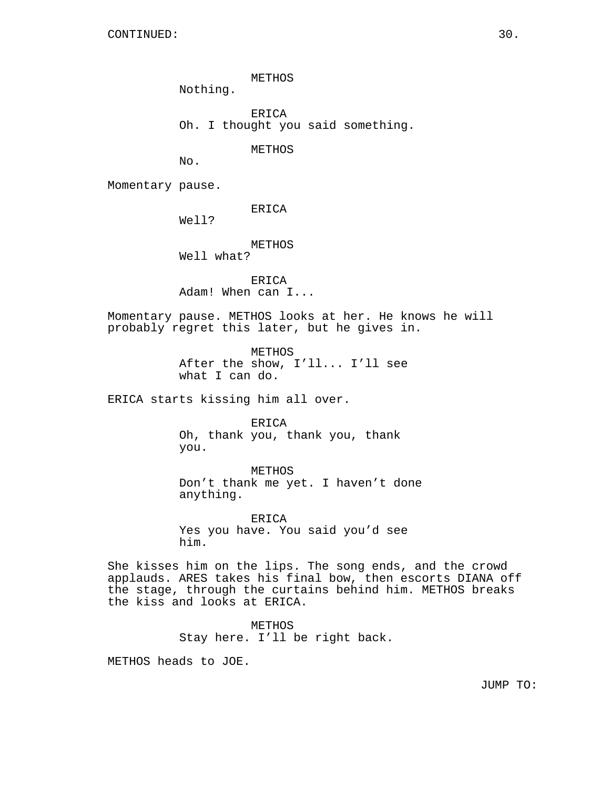METHOS

Nothing.

ERICA Oh. I thought you said something.

METHOS

No.

Momentary pause.

ERICA

Well?

METHOS Well what?

ERICA Adam! When can I...

Momentary pause. METHOS looks at her. He knows he will probably regret this later, but he gives in.

> METHOS After the show, I'll... I'll see what I can do.

ERICA starts kissing him all over.

ERICA Oh, thank you, thank you, thank you.

METHOS Don't thank me yet. I haven't done anything.

ERICA Yes you have. You said you'd see him.

She kisses him on the lips. The song ends, and the crowd applauds. ARES takes his final bow, then escorts DIANA off the stage, through the curtains behind him. METHOS breaks the kiss and looks at ERICA.

> METHOS Stay here. I'll be right back.

METHOS heads to JOE.

JUMP TO: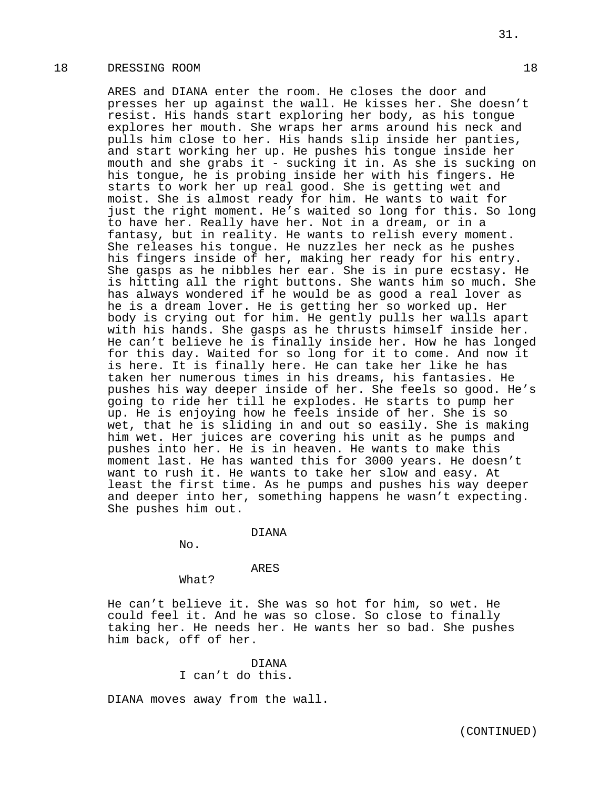# 18 DRESSING ROOM 18

ARES and DIANA enter the room. He closes the door and presses her up against the wall. He kisses her. She doesn't resist. His hands start exploring her body, as his tongue explores her mouth. She wraps her arms around his neck and pulls him close to her. His hands slip inside her panties, and start working her up. He pushes his tongue inside her mouth and she grabs it - sucking it in. As she is sucking on his tongue, he is probing inside her with his fingers. He starts to work her up real good. She is getting wet and moist. She is almost ready for him. He wants to wait for just the right moment. He's waited so long for this. So long to have her. Really have her. Not in a dream, or in a fantasy, but in reality. He wants to relish every moment. She releases his tongue. He nuzzles her neck as he pushes his fingers inside of her, making her ready for his entry. She gasps as he nibbles her ear. She is in pure ecstasy. He is hitting all the right buttons. She wants him so much. She has always wondered if he would be as good a real lover as he is a dream lover. He is getting her so worked up. Her body is crying out for him. He gently pulls her walls apart with his hands. She gasps as he thrusts himself inside her. He can't believe he is finally inside her. How he has longed for this day. Waited for so long for it to come. And now it is here. It is finally here. He can take her like he has taken her numerous times in his dreams, his fantasies. He pushes his way deeper inside of her. She feels so good. He's going to ride her till he explodes. He starts to pump her up. He is enjoying how he feels inside of her. She is so wet, that he is sliding in and out so easily. She is making him wet. Her juices are covering his unit as he pumps and pushes into her. He is in heaven. He wants to make this moment last. He has wanted this for 3000 years. He doesn't want to rush it. He wants to take her slow and easy. At least the first time. As he pumps and pushes his way deeper and deeper into her, something happens he wasn't expecting. She pushes him out.

#### DIANA

No.

## ARES

What?

He can't believe it. She was so hot for him, so wet. He could feel it. And he was so close. So close to finally taking her. He needs her. He wants her so bad. She pushes him back, off of her.

# DIANA I can't do this.

DIANA moves away from the wall.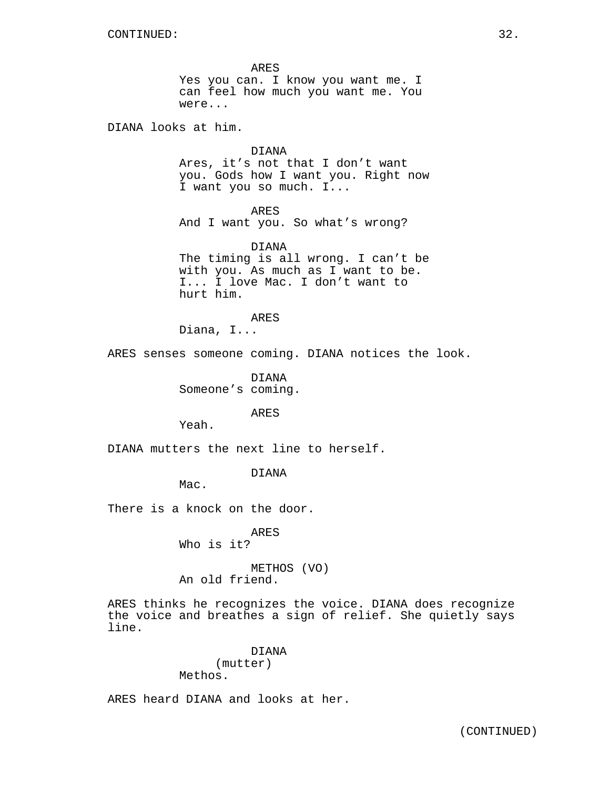ARES Yes you can. I know you want me. I can feel how much you want me. You were...

DIANA looks at him.

DIANA Ares, it's not that I don't want you. Gods how I want you. Right now I want you so much. I...

ARES And I want you. So what's wrong?

DIANA The timing is all wrong. I can't be with you. As much as I want to be. I... I love Mac. I don't want to hurt him.

ARES

Diana, I...

ARES senses someone coming. DIANA notices the look.

DIANA Someone's coming.

ARES

Yeah.

DIANA mutters the next line to herself.

DIANA

Mac.

There is a knock on the door.

ARES Who is it?

METHOS (VO) An old friend.

ARES thinks he recognizes the voice. DIANA does recognize the voice and breathes a sign of relief. She quietly says line.

> DIANA (mutter) Methos.

ARES heard DIANA and looks at her.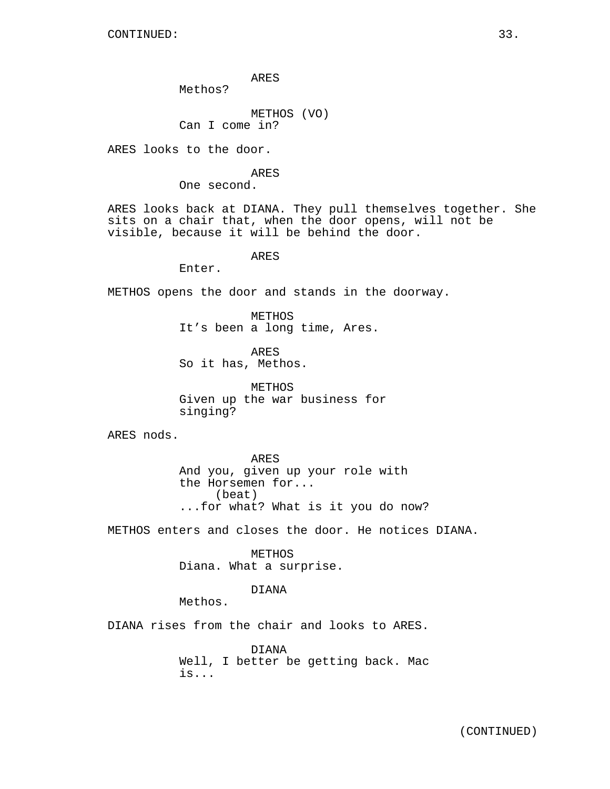ARES

Methos?

METHOS (VO) Can I come in?

ARES looks to the door.

ARES

One second.

ARES looks back at DIANA. They pull themselves together. She sits on a chair that, when the door opens, will not be visible, because it will be behind the door.

ARES

Enter.

METHOS opens the door and stands in the doorway.

METHOS It's been a long time, Ares.

ARES So it has, Methos.

METHOS Given up the war business for singing?

ARES nods.

ARES And you, given up your role with the Horsemen for... (beat) ...for what? What is it you do now?

METHOS enters and closes the door. He notices DIANA.

METHOS Diana. What a surprise.

DIANA

Methos.

DIANA rises from the chair and looks to ARES.

DIANA Well, I better be getting back. Mac is...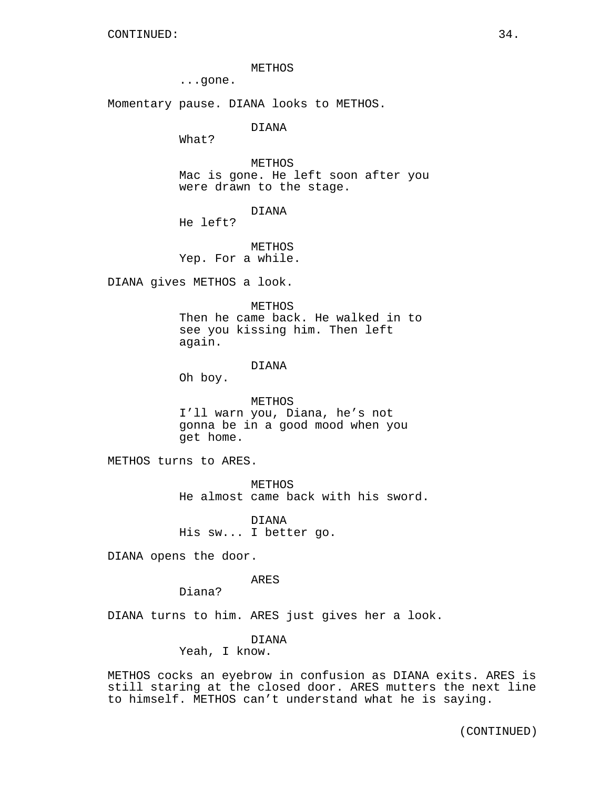METHOS

...gone.

Momentary pause. DIANA looks to METHOS.

DIANA

What?

METHOS Mac is gone. He left soon after you were drawn to the stage.

DIANA

He left?

METHOS Yep. For a while.

DIANA gives METHOS a look.

METHOS

Then he came back. He walked in to see you kissing him. Then left again.

# DIANA

Oh boy.

METHOS I'll warn you, Diana, he's not gonna be in a good mood when you get home.

METHOS turns to ARES.

METHOS He almost came back with his sword.

DIANA His sw... I better go.

DIANA opens the door.

ARES

Diana?

DIANA turns to him. ARES just gives her a look.

DIANA

Yeah, I know.

METHOS cocks an eyebrow in confusion as DIANA exits. ARES is still staring at the closed door. ARES mutters the next line to himself. METHOS can't understand what he is saying.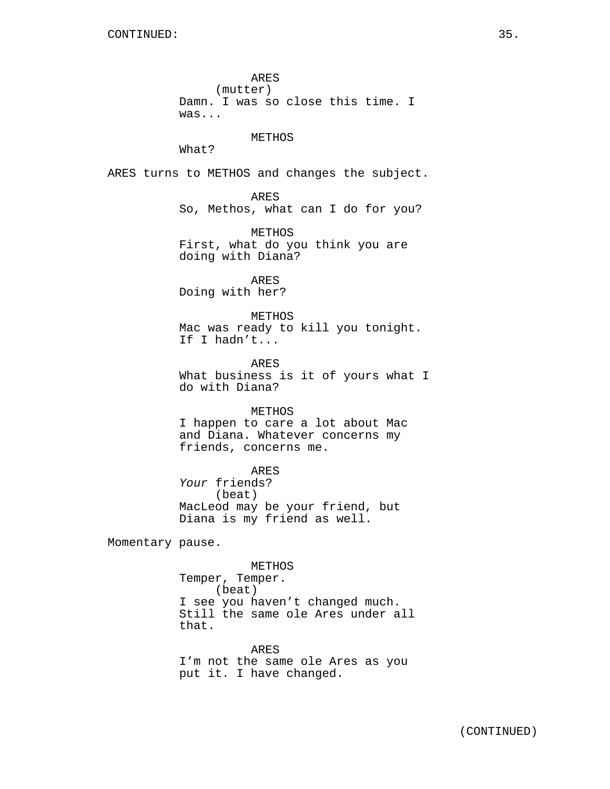ARES (mutter) Damn. I was so close this time. I was... METHOS What? ARES turns to METHOS and changes the subject. ARES So, Methos, what can I do for you? METHOS First, what do you think you are doing with Diana? ARES Doing with her? METHOS Mac was ready to kill you tonight. If I hadn't... ARES What business is it of yours what I do with Diana? METHOS I happen to care a lot about Mac and Diana. Whatever concerns my friends, concerns me. ARES Your friends? (beat) MacLeod may be your friend, but Diana is my friend as well. Momentary pause. METHOS Temper, Temper. (beat) I see you haven't changed much. Still the same ole Ares under all that. ARES

I'm not the same ole Ares as you put it. I have changed.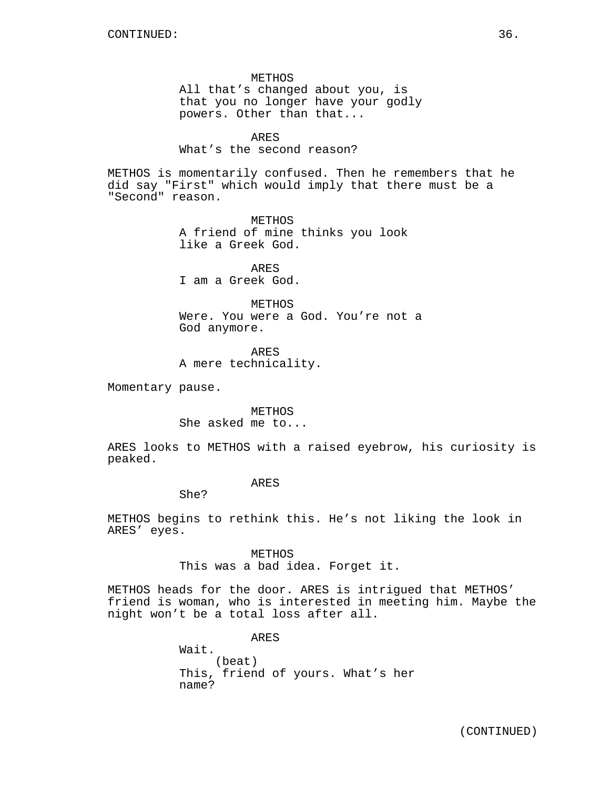METHOS All that's changed about you, is that you no longer have your godly powers. Other than that...

# ARES

### What's the second reason?

METHOS is momentarily confused. Then he remembers that he did say "First" which would imply that there must be a "Second" reason.

> METHOS A friend of mine thinks you look like a Greek God.

ARES I am a Greek God.

METHOS Were. You were a God. You're not a God anymore.

ARES A mere technicality.

Momentary pause.

METHOS She asked me to...

ARES looks to METHOS with a raised eyebrow, his curiosity is peaked.

ARES

She?

METHOS begins to rethink this. He's not liking the look in ARES' eyes.

> METHOS This was a bad idea. Forget it.

METHOS heads for the door. ARES is intrigued that METHOS' friend is woman, who is interested in meeting him. Maybe the night won't be a total loss after all.

> ARES Wait. (beat) This, friend of yours. What's her name?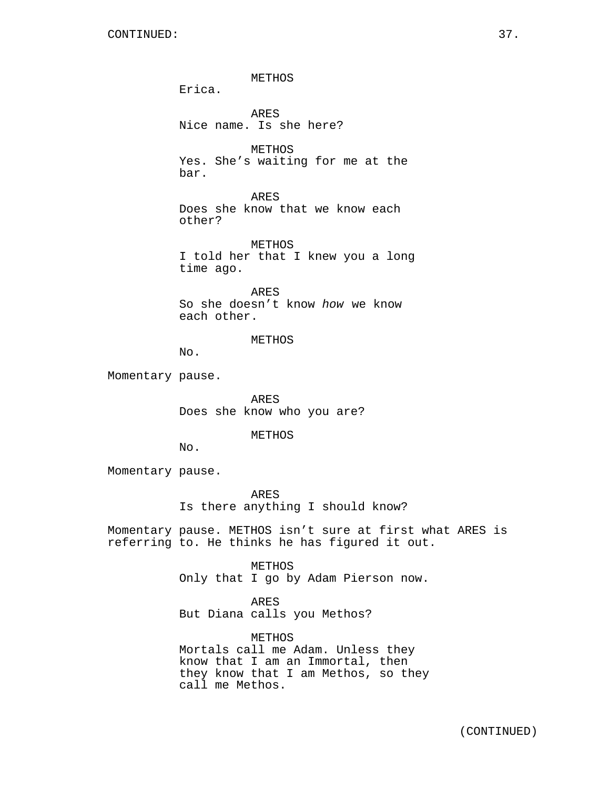METHOS Erica. ARES Nice name. Is she here? METHOS Yes. She's waiting for me at the bar. ARES

Does she know that we know each other?

METHOS I told her that I knew you a long time ago.

ARES So she doesn't know how we know each other.

METHOS

No.

Momentary pause.

ARES Does she know who you are?

METHOS

No.

Momentary pause.

ARES Is there anything I should know?

Momentary pause. METHOS isn't sure at first what ARES is referring to. He thinks he has figured it out.

METHOS

Only that I go by Adam Pierson now.

ARES

But Diana calls you Methos?

METHOS Mortals call me Adam. Unless they know that I am an Immortal, then they know that I am Methos, so they call me Methos.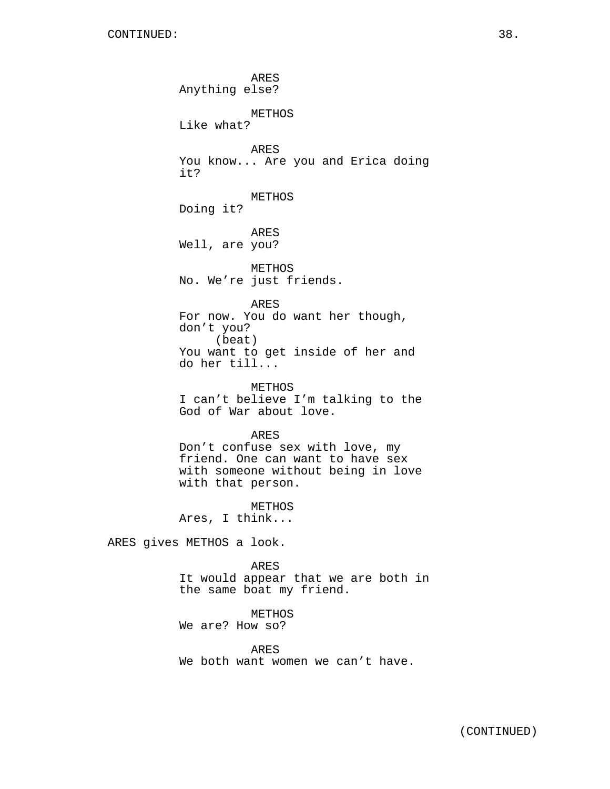ARES Anything else? METHOS Like what? ARES You know... Are you and Erica doing it? METHOS Doing it? ARES Well, are you? METHOS No. We're just friends. ARES For now. You do want her though, don't you? (beat) You want to get inside of her and do her till... METHOS I can't believe I'm talking to the God of War about love. ARES Don't confuse sex with love, my friend. One can want to have sex with someone without being in love with that person.

METHOS Ares, I think...

ARES gives METHOS a look.

ARES It would appear that we are both in the same boat my friend.

# METHOS

We are? How so?

ARES We both want women we can't have.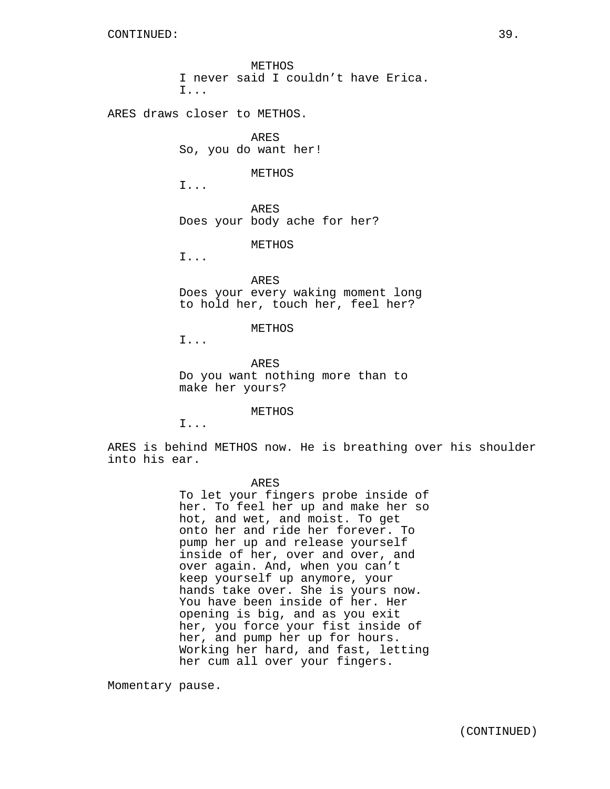METHOS I never said I couldn't have Erica. I...

ARES draws closer to METHOS.

ARES So, you do want her!

METHOS

I...

ARES Does your body ache for her?

METHOS

I...

ARES Does your every waking moment long to hold her, touch her, feel her?

#### METHOS

I...

ARES Do you want nothing more than to make her yours?

METHOS

I...

ARES is behind METHOS now. He is breathing over his shoulder into his ear.

ARES

To let your fingers probe inside of her. To feel her up and make her so hot, and wet, and moist. To get onto her and ride her forever. To pump her up and release yourself inside of her, over and over, and over again. And, when you can't keep yourself up anymore, your hands take over. She is yours now. You have been inside of her. Her opening is big, and as you exit her, you force your fist inside of her, and pump her up for hours. Working her hard, and fast, letting her cum all over your fingers.

Momentary pause.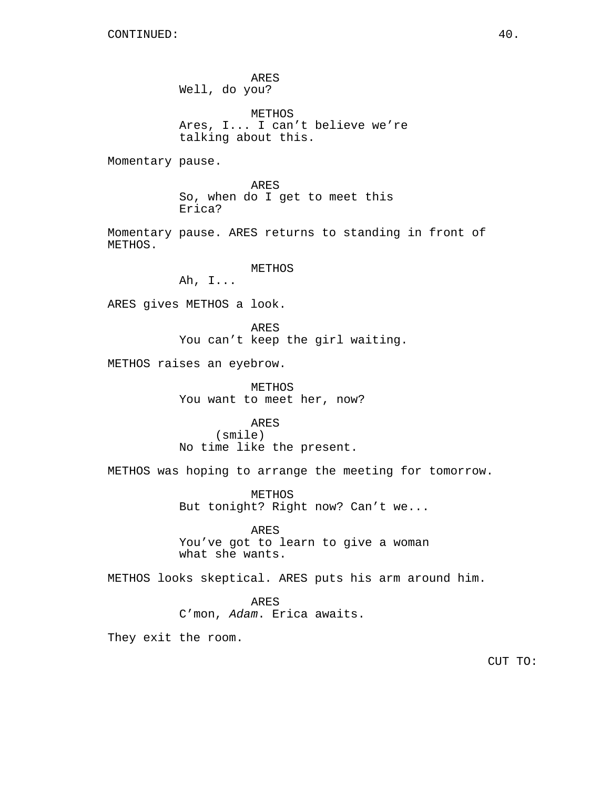ARES Well, do you? METHOS Ares, I... I can't believe we're talking about this. Momentary pause. ARES So, when do I get to meet this Erica? Momentary pause. ARES returns to standing in front of METHOS. METHOS Ah, I... ARES gives METHOS a look. ARES You can't keep the girl waiting. METHOS raises an eyebrow. METHOS You want to meet her, now? ARES (smile) No time like the present. METHOS was hoping to arrange the meeting for tomorrow. METHOS But tonight? Right now? Can't we... ARES You've got to learn to give a woman what she wants. METHOS looks skeptical. ARES puts his arm around him.

> ARES C'mon, Adam. Erica awaits.

They exit the room.

CUT TO: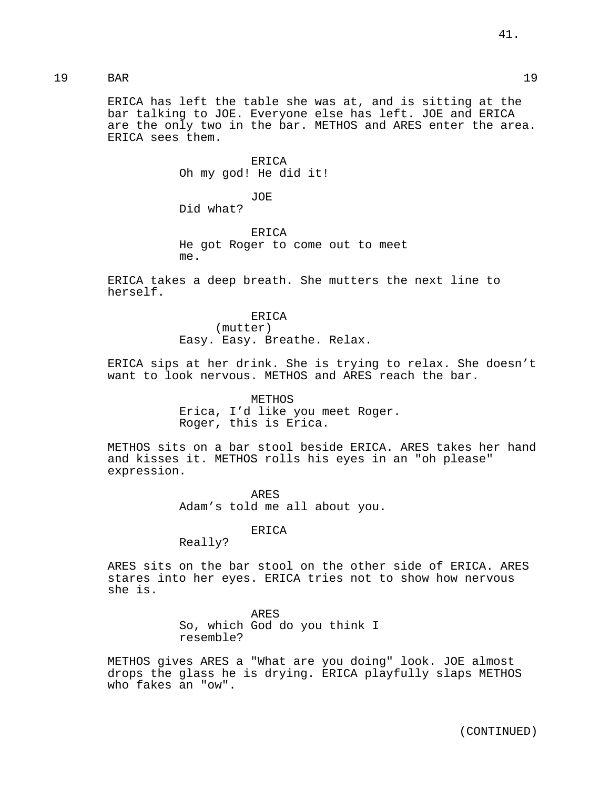19 BAR 19

ERICA has left the table she was at, and is sitting at the bar talking to JOE. Everyone else has left. JOE and ERICA are the only two in the bar. METHOS and ARES enter the area. ERICA sees them.

> ERICA Oh my god! He did it!

JOE Did what?

ERICA He got Roger to come out to meet me.

ERICA takes a deep breath. She mutters the next line to herself.

> ERICA (mutter) Easy. Easy. Breathe. Relax.

ERICA sips at her drink. She is trying to relax. She doesn't want to look nervous. METHOS and ARES reach the bar.

> METHOS Erica, I'd like you meet Roger. Roger, this is Erica.

METHOS sits on a bar stool beside ERICA. ARES takes her hand and kisses it. METHOS rolls his eyes in an "oh please" expression.

> ARES Adam's told me all about you.

> > ERICA

Really?

ARES sits on the bar stool on the other side of ERICA. ARES stares into her eyes. ERICA tries not to show how nervous she is.

> ARES So, which God do you think I resemble?

METHOS gives ARES a "What are you doing" look. JOE almost drops the glass he is drying. ERICA playfully slaps METHOS who fakes an "ow".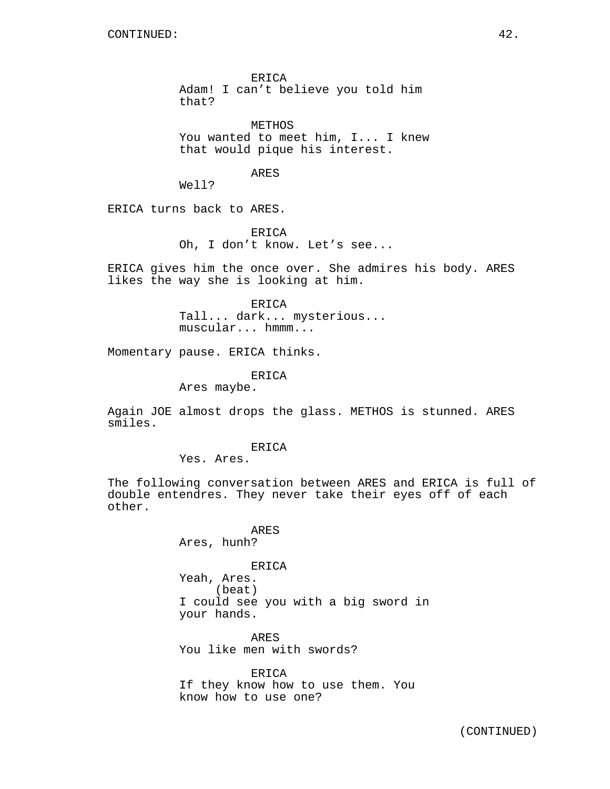ERICA Adam! I can't believe you told him that?

METHOS You wanted to meet him, I... I knew that would pique his interest.

### ARES

Well?

ERICA turns back to ARES.

ERICA Oh, I don't know. Let's see...

ERICA gives him the once over. She admires his body. ARES likes the way she is looking at him.

> ERICA Tall... dark... mysterious... muscular... hmmm...

Momentary pause. ERICA thinks.

ERICA

Ares maybe.

Again JOE almost drops the glass. METHOS is stunned. ARES smiles.

#### ERICA

Yes. Ares.

The following conversation between ARES and ERICA is full of double entendres. They never take their eyes off of each other.

> ARES Ares, hunh?

### ERICA

Yeah, Ares. (beat) I could see you with a big sword in your hands.

ARES You like men with swords?

ERICA

If they know how to use them. You know how to use one?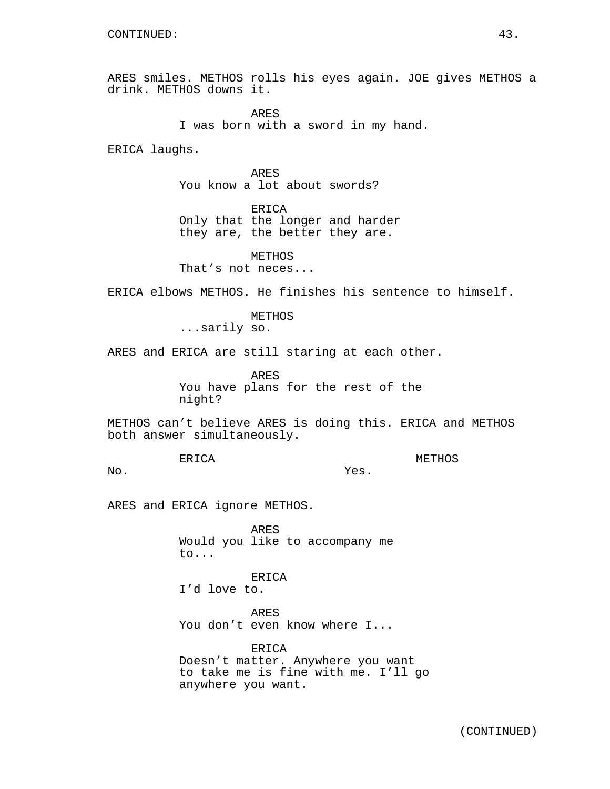ARES smiles. METHOS rolls his eyes again. JOE gives METHOS a drink. METHOS downs it.

> ARES I was born with a sword in my hand.

ERICA laughs.

ARES You know a lot about swords?

ERICA Only that the longer and harder they are, the better they are.

METHOS That's not neces...

ERICA elbows METHOS. He finishes his sentence to himself.

METHOS ...sarily so.

ARES and ERICA are still staring at each other.

ARES You have plans for the rest of the night?

METHOS can't believe ARES is doing this. ERICA and METHOS both answer simultaneously.

Yes.

ERICA

METHOS

No.

ARES and ERICA ignore METHOS.

ARES Would you like to accompany me to...

ERICA

I'd love to.

ARES You don't even know where I...

ERICA Doesn't matter. Anywhere you want to take me is fine with me. I'll go anywhere you want.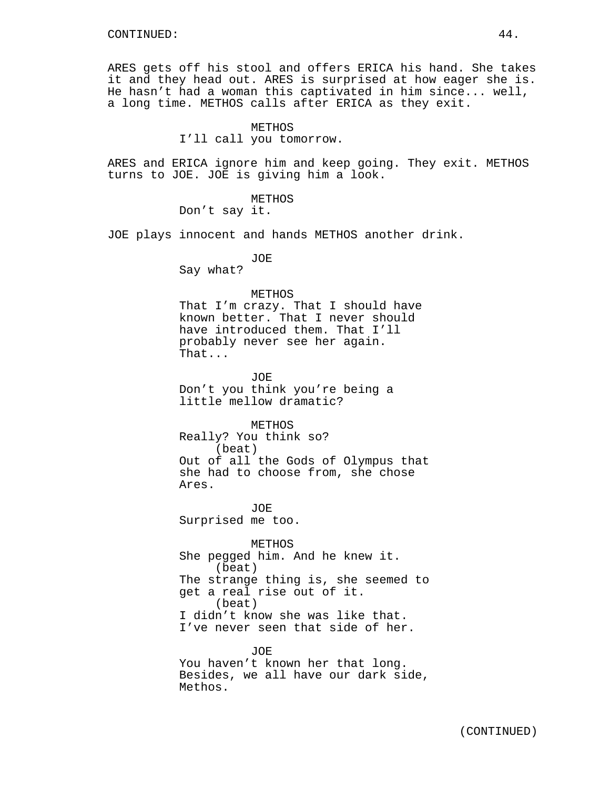ARES gets off his stool and offers ERICA his hand. She takes it and they head out. ARES is surprised at how eager she is. He hasn't had a woman this captivated in him since... well, a long time. METHOS calls after ERICA as they exit.

### METHOS

I'll call you tomorrow.

ARES and ERICA ignore him and keep going. They exit. METHOS turns to JOE. JOE is giving him a look.

METHOS

Don't say it.

JOE plays innocent and hands METHOS another drink.

JOE

Say what?

#### METHOS

That I'm crazy. That I should have known better. That I never should have introduced them. That I'll probably never see her again. That...

JOE

Don't you think you're being a little mellow dramatic?

METHOS

Really? You think so? (beat) Out of all the Gods of Olympus that she had to choose from, she chose Ares.

JOE Surprised me too.

METHOS She pegged him. And he knew it. (beat) The strange thing is, she seemed to get a real rise out of it. (beat) I didn't know she was like that. I've never seen that side of her.

JOE You haven't known her that long. Besides, we all have our dark side, Methos.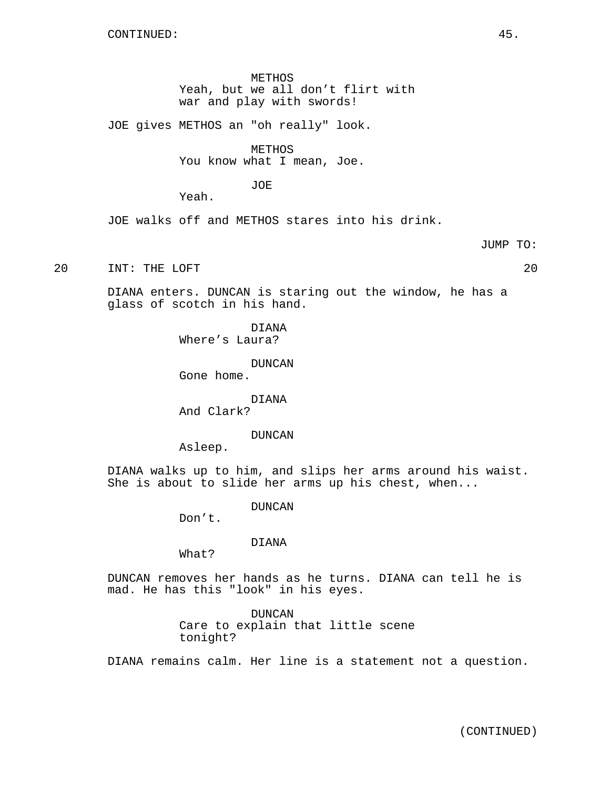METHOS Yeah, but we all don't flirt with war and play with swords!

JOE gives METHOS an "oh really" look.

METHOS

You know what I mean, Joe.

JOE

Yeah.

JOE walks off and METHOS stares into his drink.

JUMP TO:

20 INT: THE LOFT 20

DIANA enters. DUNCAN is staring out the window, he has a glass of scotch in his hand.

> DIANA Where's Laura?

> > DUNCAN

Gone home.

DIANA

And Clark?

DUNCAN

Asleep.

DIANA walks up to him, and slips her arms around his waist. She is about to slide her arms up his chest, when...

DUNCAN

Don't.

DIANA

What?

DUNCAN removes her hands as he turns. DIANA can tell he is mad. He has this "look" in his eyes.

> DUNCAN Care to explain that little scene tonight?

DIANA remains calm. Her line is a statement not a question.

(CONTINUED)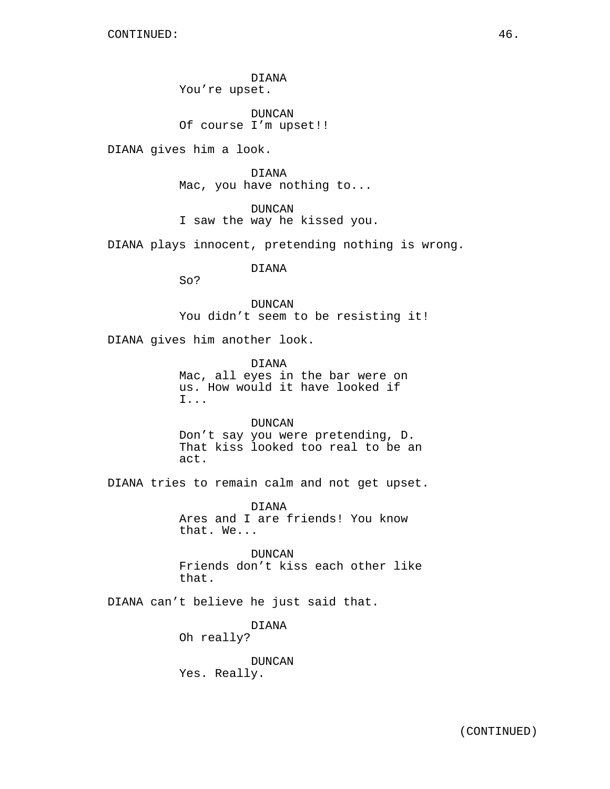DIANA You're upset.

DUNCAN Of course I'm upset!!

DIANA gives him a look.

DIANA Mac, you have nothing to...

DUNCAN I saw the way he kissed you.

DIANA plays innocent, pretending nothing is wrong.

DIANA

So?

DUNCAN You didn't seem to be resisting it!

DIANA gives him another look.

DIANA Mac, all eyes in the bar were on us. How would it have looked if I...

DUNCAN Don't say you were pretending, D. That kiss looked too real to be an act.

DIANA tries to remain calm and not get upset.

DIANA Ares and I are friends! You know that. We...

DUNCAN Friends don't kiss each other like that.

DIANA can't believe he just said that.

DIANA Oh really?

DUNCAN Yes. Really.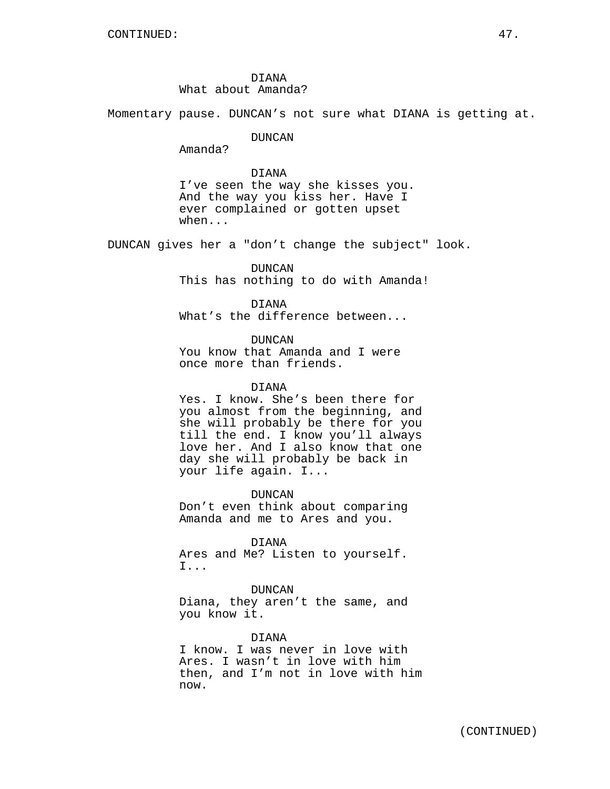DIANA What about Amanda?

Momentary pause. DUNCAN's not sure what DIANA is getting at.

DUNCAN

Amanda?

### DIANA

I've seen the way she kisses you. And the way you kiss her. Have I ever complained or gotten upset when...

DUNCAN gives her a "don't change the subject" look.

DUNCAN This has nothing to do with Amanda!

DIANA What's the difference between...

DUNCAN You know that Amanda and I were once more than friends.

### DIANA

Yes. I know. She's been there for you almost from the beginning, and she will probably be there for you till the end. I know you'll always love her. And I also know that one day she will probably be back in your life again. I...

DUNCAN Don't even think about comparing Amanda and me to Ares and you.

DIANA Ares and Me? Listen to yourself. I...

DUNCAN Diana, they aren't the same, and you know it.

DIANA

I know. I was never in love with Ares. I wasn't in love with him then, and I'm not in love with him now.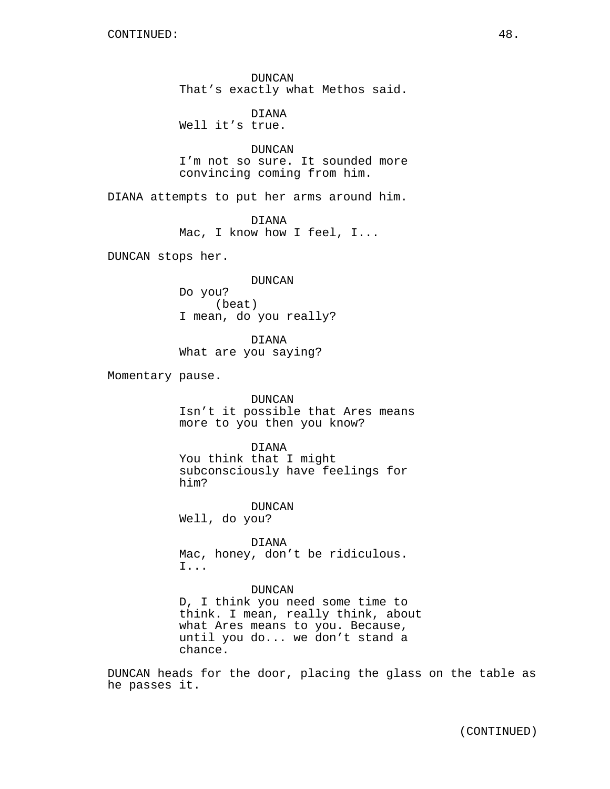DUNCAN That's exactly what Methos said.

DIANA Well it's true.

DUNCAN I'm not so sure. It sounded more convincing coming from him.

DIANA attempts to put her arms around him.

DIANA Mac, I know how I feel, I...

DUNCAN stops her.

DUNCAN

Do you? (beat) I mean, do you really?

DIANA What are you saying?

Momentary pause.

DUNCAN Isn't it possible that Ares means more to you then you know?

DIANA

You think that I might subconsciously have feelings for him?

DUNCAN Well, do you?

DIANA Mac, honey, don't be ridiculous. I...

### DUNCAN

D, I think you need some time to think. I mean, really think, about what Ares means to you. Because, until you do... we don't stand a chance.

DUNCAN heads for the door, placing the glass on the table as he passes it.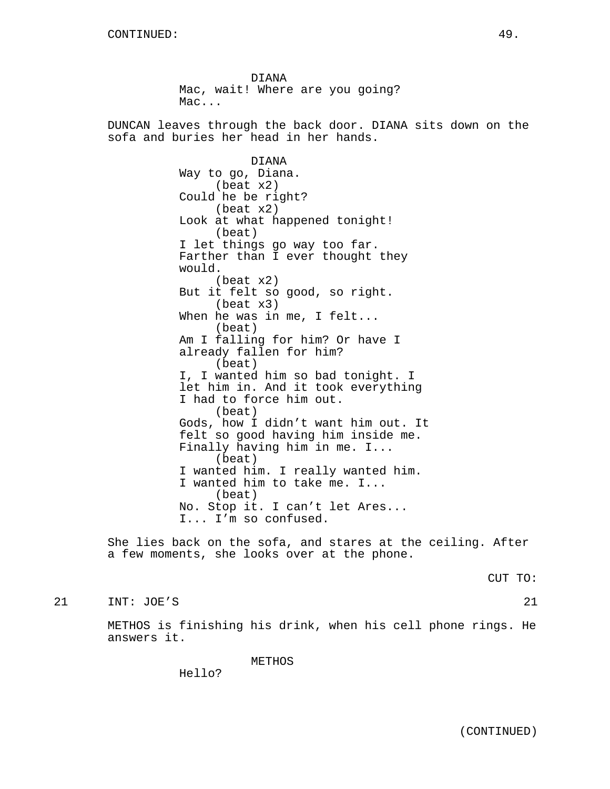DIANA Mac, wait! Where are you going? Mac... DUNCAN leaves through the back door. DIANA sits down on the sofa and buries her head in her hands. DIANA Way to go, Diana. (beat x2) Could he be right? (beat x2) Look at what happened tonight! (beat) I let things go way too far. Farther than I ever thought they would. (beat x2) But it felt so good, so right. (beat x3) When he was in me, I felt... (beat) Am I falling for him? Or have I already fallen for him? (beat) I, I wanted him so bad tonight. I let him in. And it took everything I had to force him out. (beat) Gods, how I didn't want him out. It felt so good having him inside me. Finally having him in me. I... (beat) I wanted him. I really wanted him. I wanted him to take me. I... (beat) No. Stop it. I can't let Ares... I... I'm so confused.

She lies back on the sofa, and stares at the ceiling. After a few moments, she looks over at the phone.

CUT TO:

21 INT: JOE'S 21

METHOS is finishing his drink, when his cell phone rings. He answers it.

METHOS

Hello?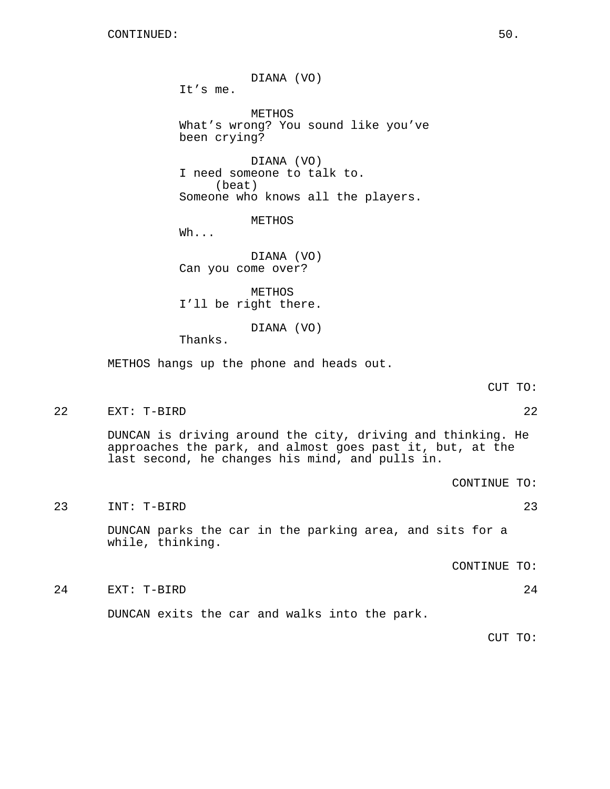DIANA (VO) It's me. METHOS What's wrong? You sound like you've been crying? DIANA (VO) I need someone to talk to. (beat) Someone who knows all the players. METHOS Wh... DIANA (VO) Can you come over? METHOS I'll be right there. DIANA (VO) Thanks. METHOS hangs up the phone and heads out. CUT TO: 22 EXT: T-BIRD 22 DUNCAN is driving around the city, driving and thinking. He approaches the park, and almost goes past it, but, at the last second, he changes his mind, and pulls in. CONTINUE TO: 23 INT: T-BIRD 23 DUNCAN parks the car in the parking area, and sits for a while, thinking. CONTINUE TO: 24 EXT: T-BIRD 24 DUNCAN exits the car and walks into the park. CUT TO: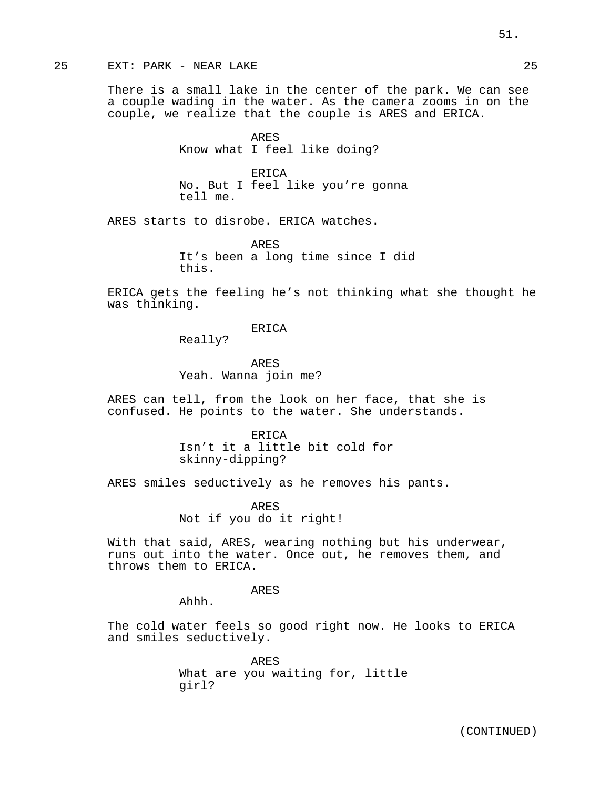# 25 EXT: PARK - NEAR LAKE 25

There is a small lake in the center of the park. We can see a couple wading in the water. As the camera zooms in on the couple, we realize that the couple is ARES and ERICA.

> ARES Know what I feel like doing?

ERICA No. But I feel like you're gonna tell me.

ARES starts to disrobe. ERICA watches.

ARES It's been a long time since I did this.

ERICA gets the feeling he's not thinking what she thought he was thinking.

ERICA

Really?

ARES Yeah. Wanna join me?

ARES can tell, from the look on her face, that she is confused. He points to the water. She understands.

> ERICA Isn't it a little bit cold for skinny-dipping?

ARES smiles seductively as he removes his pants.

ARES Not if you do it right!

With that said, ARES, wearing nothing but his underwear, runs out into the water. Once out, he removes them, and throws them to ERICA.

ARES

Ahhh.

The cold water feels so good right now. He looks to ERICA and smiles seductively.

> ARES What are you waiting for, little girl?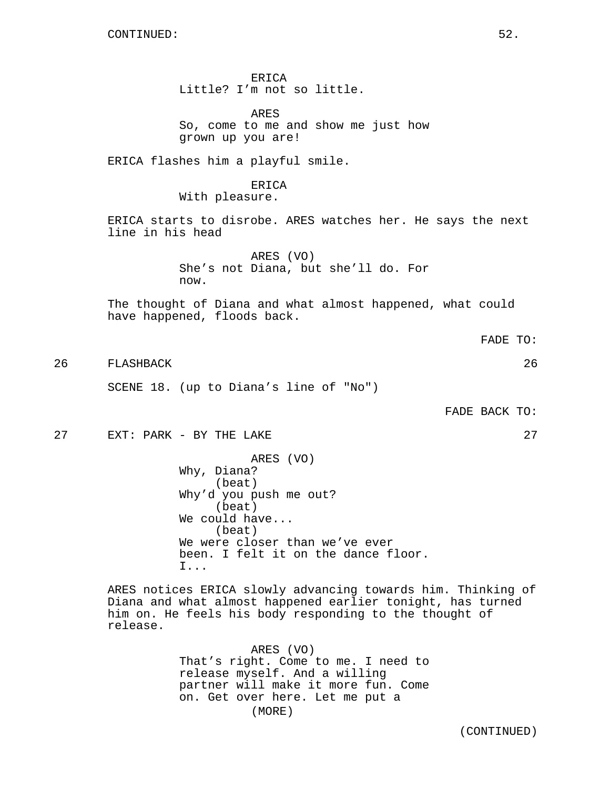ERICA Little? I'm not so little. ARES So, come to me and show me just how grown up you are! ERICA flashes him a playful smile. ERICA With pleasure. ERICA starts to disrobe. ARES watches her. He says the next line in his head ARES (VO) She's not Diana, but she'll do. For now. The thought of Diana and what almost happened, what could have happened, floods back. 26 FLASHBACK 26 SCENE 18. (up to Diana's line of "No") FADE BACK TO: 27 EXT: PARK - BY THE LAKE 27 ARES (VO) Why, Diana? (beat) Why'd you push me out? (beat)

We could have... (beat) We were closer than we've ever been. I felt it on the dance floor. I...

ARES notices ERICA slowly advancing towards him. Thinking of Diana and what almost happened earlier tonight, has turned him on. He feels his body responding to the thought of release.

> ARES (VO) That's right. Come to me. I need to release myself. And a willing partner will make it more fun. Come on. Get over here. Let me put a (MORE)

> > (CONTINUED)

FADE TO: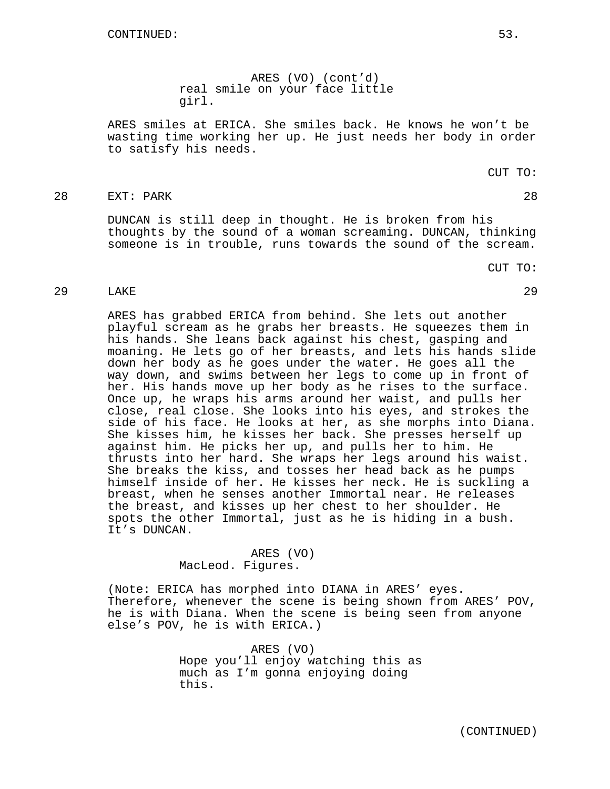ARES (VO) (cont'd) real smile on your face little girl.

ARES smiles at ERICA. She smiles back. He knows he won't be wasting time working her up. He just needs her body in order to satisfy his needs.

# 28 EXT: PARK 28

DUNCAN is still deep in thought. He is broken from his thoughts by the sound of a woman screaming. DUNCAN, thinking someone is in trouble, runs towards the sound of the scream.

CUT TO:

# 29 LAKE 29

ARES has grabbed ERICA from behind. She lets out another playful scream as he grabs her breasts. He squeezes them in his hands. She leans back against his chest, gasping and moaning. He lets go of her breasts, and lets his hands slide down her body as he goes under the water. He goes all the way down, and swims between her legs to come up in front of her. His hands move up her body as he rises to the surface. Once up, he wraps his arms around her waist, and pulls her close, real close. She looks into his eyes, and strokes the side of his face. He looks at her, as she morphs into Diana. She kisses him, he kisses her back. She presses herself up against him. He picks her up, and pulls her to him. He thrusts into her hard. She wraps her legs around his waist. She breaks the kiss, and tosses her head back as he pumps himself inside of her. He kisses her neck. He is suckling a breast, when he senses another Immortal near. He releases the breast, and kisses up her chest to her shoulder. He spots the other Immortal, just as he is hiding in a bush. It's DUNCAN.

### ARES (VO) MacLeod. Figures.

(Note: ERICA has morphed into DIANA in ARES' eyes. Therefore, whenever the scene is being shown from ARES' POV, he is with Diana. When the scene is being seen from anyone else's POV, he is with ERICA.)

> ARES (VO) Hope you'll enjoy watching this as much as I'm gonna enjoying doing this.

CUT TO: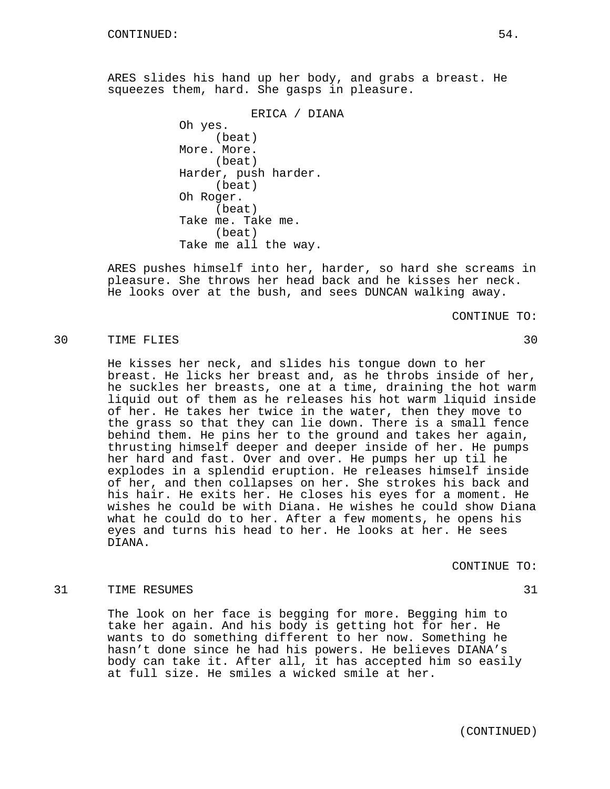ARES slides his hand up her body, and grabs a breast. He squeezes them, hard. She gasps in pleasure.

> ERICA / DIANA Oh yes. (beat) More. More. (beat) Harder, push harder. (beat) Oh Roger. (beat) Take me. Take me. (beat) Take me all the way.

ARES pushes himself into her, harder, so hard she screams in pleasure. She throws her head back and he kisses her neck. He looks over at the bush, and sees DUNCAN walking away.

CONTINUE TO:

## 30 TIME FLIES 30

He kisses her neck, and slides his tongue down to her breast. He licks her breast and, as he throbs inside of her, he suckles her breasts, one at a time, draining the hot warm liquid out of them as he releases his hot warm liquid inside of her. He takes her twice in the water, then they move to the grass so that they can lie down. There is a small fence behind them. He pins her to the ground and takes her again, thrusting himself deeper and deeper inside of her. He pumps her hard and fast. Over and over. He pumps her up til he explodes in a splendid eruption. He releases himself inside of her, and then collapses on her. She strokes his back and his hair. He exits her. He closes his eyes for a moment. He wishes he could be with Diana. He wishes he could show Diana what he could do to her. After a few moments, he opens his eyes and turns his head to her. He looks at her. He sees DIANA.

CONTINUE TO:

## 31 TIME RESUMES 31 31

The look on her face is begging for more. Begging him to take her again. And his body is getting hot for her. He wants to do something different to her now. Something he hasn't done since he had his powers. He believes DIANA's body can take it. After all, it has accepted him so easily at full size. He smiles a wicked smile at her.

(CONTINUED)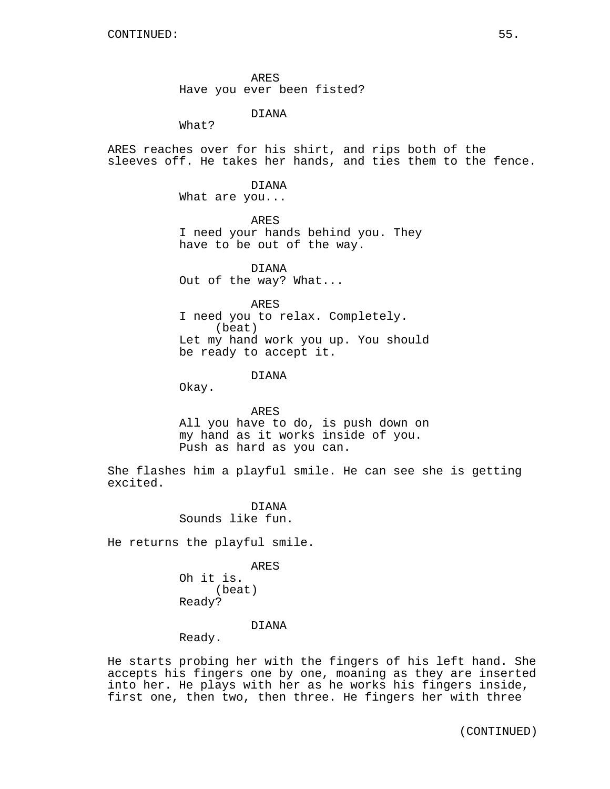ARES Have you ever been fisted?

DIANA

What?

ARES reaches over for his shirt, and rips both of the sleeves off. He takes her hands, and ties them to the fence.

DIANA

What are you...

ARES I need your hands behind you. They have to be out of the way.

DIANA Out of the way? What...

ARES

I need you to relax. Completely. (beat) Let my hand work you up. You should be ready to accept it.

DIANA

Okay.

ARES All you have to do, is push down on my hand as it works inside of you. Push as hard as you can.

She flashes him a playful smile. He can see she is getting excited.

> DIANA Sounds like fun.

He returns the playful smile.

ARES Oh it is. (beat) Ready?

DIANA

Ready.

He starts probing her with the fingers of his left hand. She accepts his fingers one by one, moaning as they are inserted into her. He plays with her as he works his fingers inside, first one, then two, then three. He fingers her with three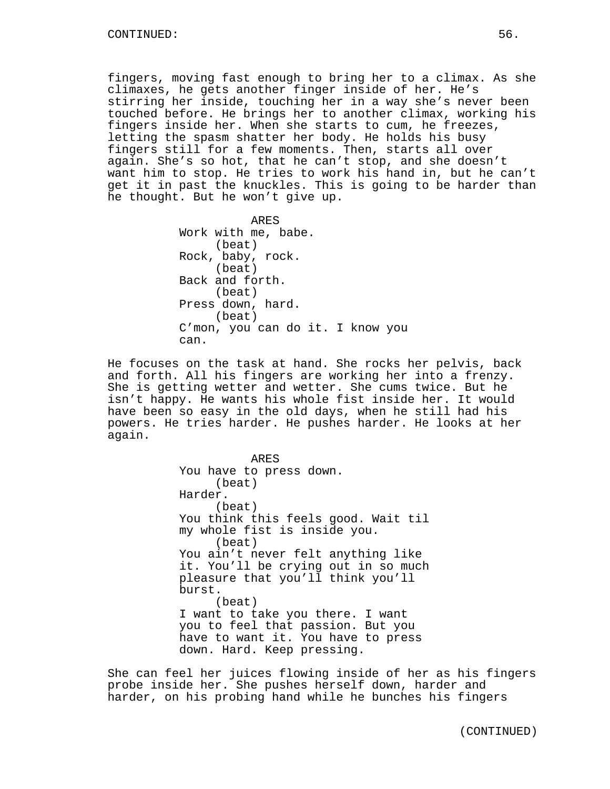fingers, moving fast enough to bring her to a climax. As she climaxes, he gets another finger inside of her. He's stirring her inside, touching her in a way she's never been touched before. He brings her to another climax, working his fingers inside her. When she starts to cum, he freezes, letting the spasm shatter her body. He holds his busy fingers still for a few moments. Then, starts all over again. She's so hot, that he can't stop, and she doesn't want him to stop. He tries to work his hand in, but he can't get it in past the knuckles. This is going to be harder than he thought. But he won't give up.

> ARES Work with me, babe. (beat) Rock, baby, rock. (beat) Back and forth. (beat) Press down, hard. (beat) C'mon, you can do it. I know you can.

He focuses on the task at hand. She rocks her pelvis, back and forth. All his fingers are working her into a frenzy. She is getting wetter and wetter. She cums twice. But he isn't happy. He wants his whole fist inside her. It would have been so easy in the old days, when he still had his powers. He tries harder. He pushes harder. He looks at her again.

> ARES You have to press down. (beat) Harder. (beat) You think this feels good. Wait til my whole fist is inside you. (beat) You ain't never felt anything like it. You'll be crying out in so much pleasure that you'll think you'll burst. (beat) I want to take you there. I want you to feel that passion. But you have to want it. You have to press down. Hard. Keep pressing.

She can feel her juices flowing inside of her as his fingers probe inside her. She pushes herself down, harder and harder, on his probing hand while he bunches his fingers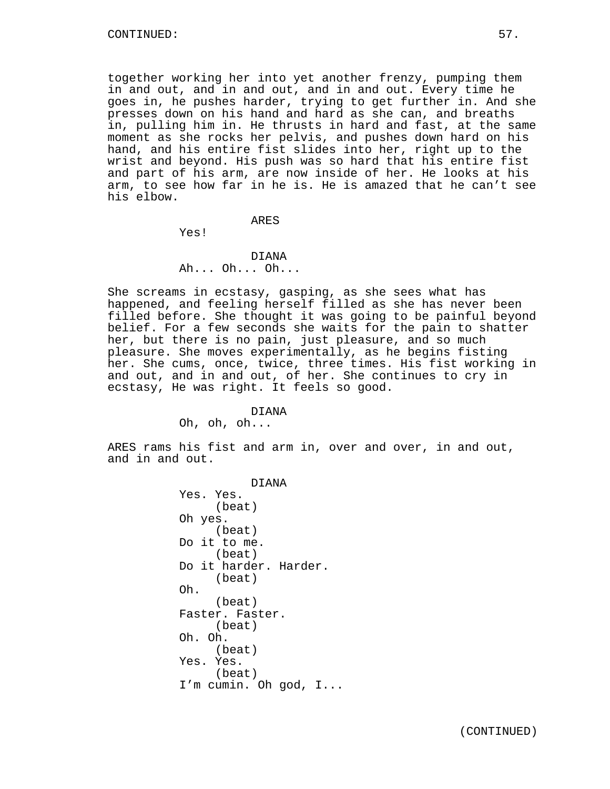together working her into yet another frenzy, pumping them in and out, and in and out, and in and out. Every time he goes in, he pushes harder, trying to get further in. And she presses down on his hand and hard as she can, and breaths in, pulling him in. He thrusts in hard and fast, at the same moment as she rocks her pelvis, and pushes down hard on his hand, and his entire fist slides into her, right up to the wrist and beyond. His push was so hard that his entire fist and part of his arm, are now inside of her. He looks at his arm, to see how far in he is. He is amazed that he can't see his elbow.

### ARES

Yes!

## DIANA Ah... Oh... Oh...

She screams in ecstasy, gasping, as she sees what has happened, and feeling herself filled as she has never been filled before. She thought it was going to be painful beyond belief. For a few seconds she waits for the pain to shatter her, but there is no pain, just pleasure, and so much pleasure. She moves experimentally, as he begins fisting her. She cums, once, twice, three times. His fist working in and out, and in and out, of her. She continues to cry in ecstasy, He was right. It feels so good.

# DIANA

Oh, oh, oh...

ARES rams his fist and arm in, over and over, in and out, and in and out.

> DIANA Yes. Yes. (beat) Oh yes. (beat) Do it to me. (beat) Do it harder. Harder. (beat) Oh. (beat) Faster. Faster. (beat) Oh. Oh. (beat) Yes. Yes. (beat) I'm cumin. Oh god, I...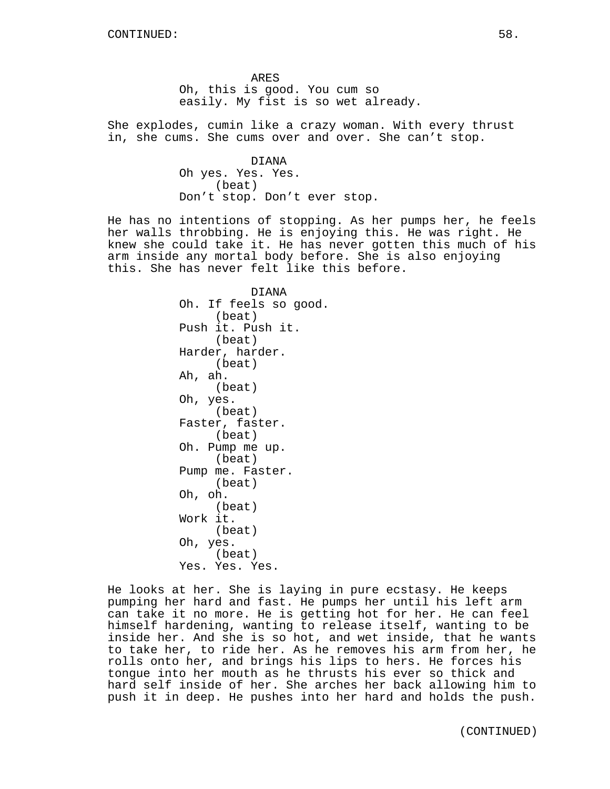ARES Oh, this is good. You cum so easily. My fist is so wet already.

She explodes, cumin like a crazy woman. With every thrust in, she cums. She cums over and over. She can't stop.

> DIANA Oh yes. Yes. Yes. (beat) Don't stop. Don't ever stop.

He has no intentions of stopping. As her pumps her, he feels her walls throbbing. He is enjoying this. He was right. He knew she could take it. He has never gotten this much of his arm inside any mortal body before. She is also enjoying this. She has never felt like this before.

> DIANA Oh. If feels so good. (beat) Push it. Push it. (beat) Harder, harder. (beat) Ah, ah. (beat) Oh, yes. (beat) Faster, faster. (beat) Oh. Pump me up. (beat) Pump me. Faster. (beat) Oh, oh. (beat) Work it. (beat) Oh, yes. (beat) Yes. Yes. Yes.

He looks at her. She is laying in pure ecstasy. He keeps pumping her hard and fast. He pumps her until his left arm can take it no more. He is getting hot for her. He can feel himself hardening, wanting to release itself, wanting to be inside her. And she is so hot, and wet inside, that he wants to take her, to ride her. As he removes his arm from her, he rolls onto her, and brings his lips to hers. He forces his tongue into her mouth as he thrusts his ever so thick and hard self inside of her. She arches her back allowing him to push it in deep. He pushes into her hard and holds the push.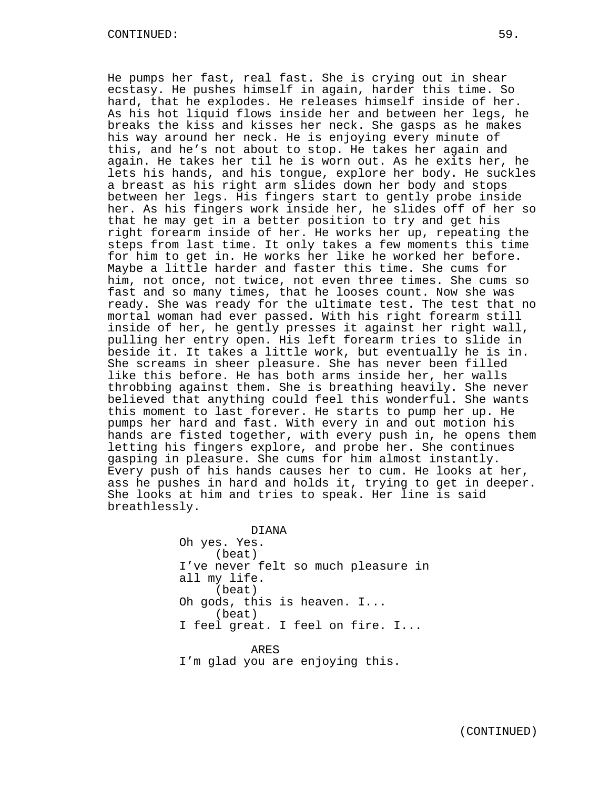He pumps her fast, real fast. She is crying out in shear ecstasy. He pushes himself in again, harder this time. So hard, that he explodes. He releases himself inside of her. As his hot liquid flows inside her and between her legs, he breaks the kiss and kisses her neck. She gasps as he makes his way around her neck. He is enjoying every minute of this, and he's not about to stop. He takes her again and again. He takes her til he is worn out. As he exits her, he lets his hands, and his tongue, explore her body. He suckles a breast as his right arm slides down her body and stops between her legs. His fingers start to gently probe inside her. As his fingers work inside her, he slides off of her so that he may get in a better position to try and get his right forearm inside of her. He works her up, repeating the steps from last time. It only takes a few moments this time for him to get in. He works her like he worked her before. Maybe a little harder and faster this time. She cums for him, not once, not twice, not even three times. She cums so fast and so many times, that he looses count. Now she was ready. She was ready for the ultimate test. The test that no mortal woman had ever passed. With his right forearm still inside of her, he gently presses it against her right wall, pulling her entry open. His left forearm tries to slide in beside it. It takes a little work, but eventually he is in. She screams in sheer pleasure. She has never been filled like this before. He has both arms inside her, her walls throbbing against them. She is breathing heavily. She never believed that anything could feel this wonderful. She wants this moment to last forever. He starts to pump her up. He pumps her hard and fast. With every in and out motion his hands are fisted together, with every push in, he opens them letting his fingers explore, and probe her. She continues gasping in pleasure. She cums for him almost instantly. Every push of his hands causes her to cum. He looks at her, ass he pushes in hard and holds it, trying to get in deeper. She looks at him and tries to speak. Her line is said breathlessly.

> DIANA Oh yes. Yes. (beat) I've never felt so much pleasure in all my life. (beat) Oh gods, this is heaven. I... (beat) I feel great. I feel on fire. I... ARES I'm glad you are enjoying this.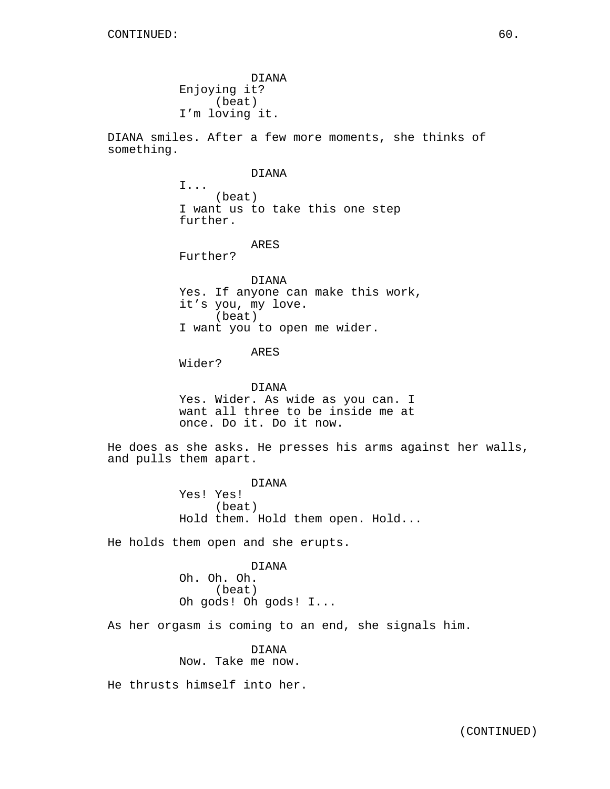DIANA Enjoying it? (beat) I'm loving it.

DIANA smiles. After a few more moments, she thinks of something.

#### DIANA

I... (beat) I want us to take this one step further.

ARES

Further?

DIANA Yes. If anyone can make this work, it's you, my love. (beat) I want you to open me wider.

## ARES

Wider?

DIANA Yes. Wider. As wide as you can. I want all three to be inside me at once. Do it. Do it now.

He does as she asks. He presses his arms against her walls, and pulls them apart.

> DIANA Yes! Yes! (beat) Hold them. Hold them open. Hold...

He holds them open and she erupts.

DIANA Oh. Oh. Oh. (beat) Oh gods! Oh gods! I...

As her orgasm is coming to an end, she signals him.

DIANA Now. Take me now.

He thrusts himself into her.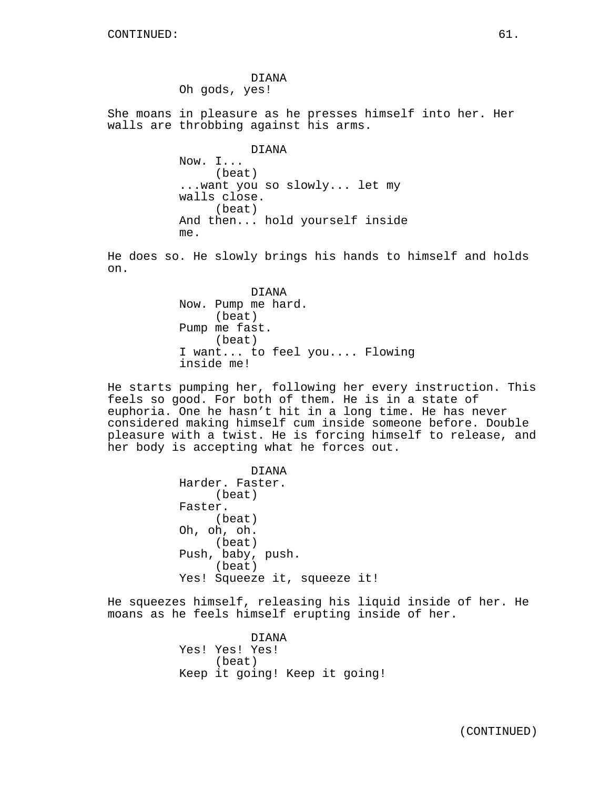DIANA Oh gods, yes!

She moans in pleasure as he presses himself into her. Her walls are throbbing against his arms.

> DIANA Now. I... (beat) ...want you so slowly... let my walls close. (beat) And then... hold yourself inside me.

He does so. He slowly brings his hands to himself and holds on.

> DIANA Now. Pump me hard. (beat) Pump me fast. (beat) I want... to feel you.... Flowing inside me!

He starts pumping her, following her every instruction. This feels so good. For both of them. He is in a state of euphoria. One he hasn't hit in a long time. He has never considered making himself cum inside someone before. Double pleasure with a twist. He is forcing himself to release, and her body is accepting what he forces out.

> DIANA Harder. Faster. (beat) Faster. (beat) Oh, oh, oh. (beat) Push, baby, push. (beat) Yes! Squeeze it, squeeze it!

He squeezes himself, releasing his liquid inside of her. He moans as he feels himself erupting inside of her.

> DIANA Yes! Yes! Yes! (beat) Keep it going! Keep it going!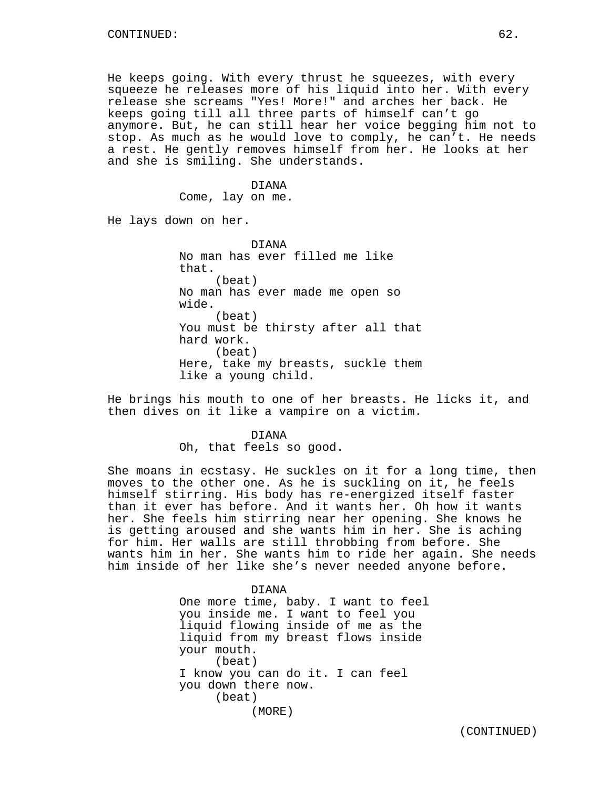He keeps going. With every thrust he squeezes, with every squeeze he releases more of his liquid into her. With every release she screams "Yes! More!" and arches her back. He keeps going till all three parts of himself can't go anymore. But, he can still hear her voice begging him not to stop. As much as he would love to comply, he can't. He needs a rest. He gently removes himself from her. He looks at her and she is smiling. She understands.

#### DIANA

Come, lay on me.

He lays down on her.

DIANA No man has ever filled me like that. (beat) No man has ever made me open so wide. (beat) You must be thirsty after all that hard work. (beat) Here, take my breasts, suckle them like a young child.

He brings his mouth to one of her breasts. He licks it, and then dives on it like a vampire on a victim.

### DIANA

Oh, that feels so good.

She moans in ecstasy. He suckles on it for a long time, then moves to the other one. As he is suckling on it, he feels himself stirring. His body has re-energized itself faster than it ever has before. And it wants her. Oh how it wants her. She feels him stirring near her opening. She knows he is getting aroused and she wants him in her. She is aching for him. Her walls are still throbbing from before. She wants him in her. She wants him to ride her again. She needs him inside of her like she's never needed anyone before.

# One more time, baby. I want to feel you inside me. I want to feel you liquid flowing inside of me as the liquid from my breast flows inside

DIANA

your mouth. (beat) I know you can do it. I can feel you down there now. (beat) (MORE)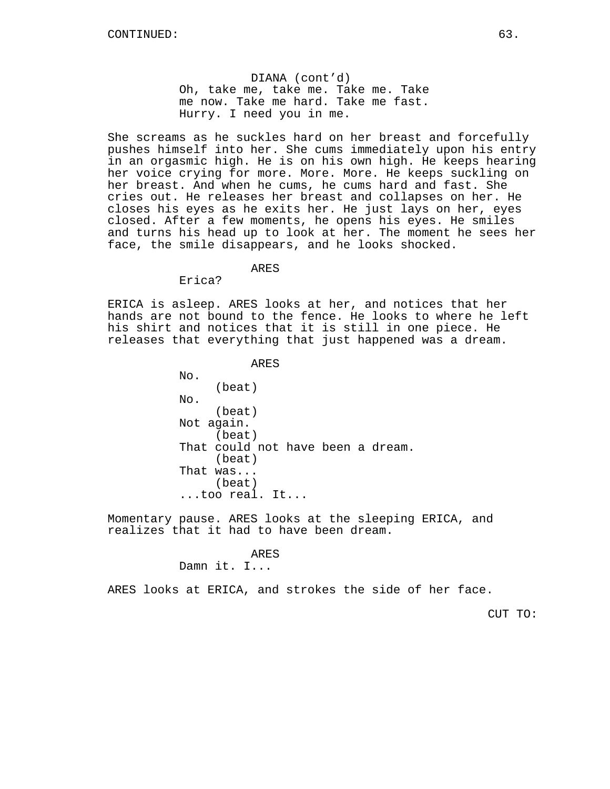DIANA (cont'd) Oh, take me, take me. Take me. Take me now. Take me hard. Take me fast. Hurry. I need you in me.

She screams as he suckles hard on her breast and forcefully pushes himself into her. She cums immediately upon his entry in an orgasmic high. He is on his own high. He keeps hearing her voice crying for more. More. More. He keeps suckling on her breast. And when he cums, he cums hard and fast. She cries out. He releases her breast and collapses on her. He closes his eyes as he exits her. He just lays on her, eyes closed. After a few moments, he opens his eyes. He smiles and turns his head up to look at her. The moment he sees her face, the smile disappears, and he looks shocked.

# ARES

Erica?

ERICA is asleep. ARES looks at her, and notices that her hands are not bound to the fence. He looks to where he left his shirt and notices that it is still in one piece. He releases that everything that just happened was a dream.

> ARES No. (beat) No. (beat) Not again. (beat) That could not have been a dream. (beat) That was... (beat) ...too real. It...

Momentary pause. ARES looks at the sleeping ERICA, and realizes that it had to have been dream.

#### ARES

Damn it. I...

ARES looks at ERICA, and strokes the side of her face.

CUT TO: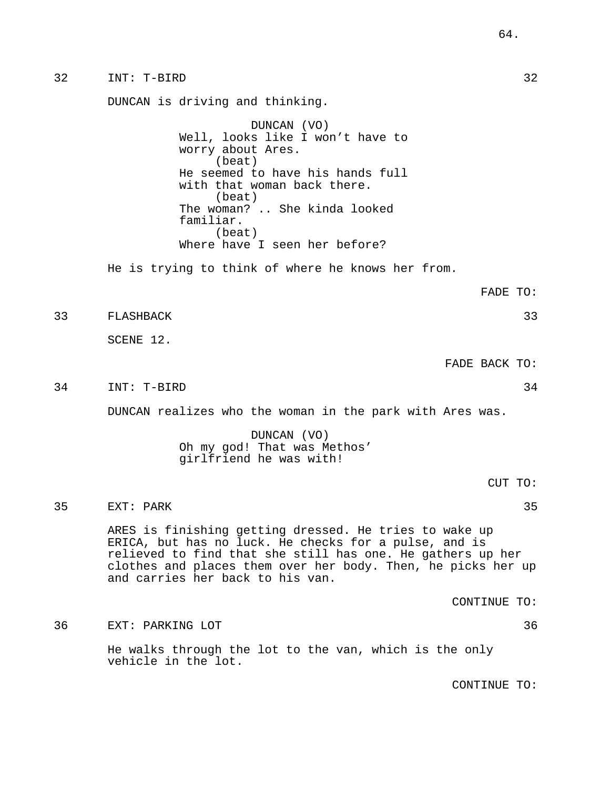DUNCAN is driving and thinking.

DUNCAN (VO) Well, looks like I won't have to worry about Ares. (beat) He seemed to have his hands full with that woman back there. (beat) The woman? .. She kinda looked familiar. (beat) Where have I seen her before?

He is trying to think of where he knows her from.

FADE TO:

33 FLASHBACK 33

SCENE 12.

FADE BACK TO:

34 INT: T-BIRD 34

DUNCAN realizes who the woman in the park with Ares was.

# DUNCAN (VO) Oh my god! That was Methos' girlfriend he was with!

35 EXT: PARK 35

ARES is finishing getting dressed. He tries to wake up ERICA, but has no luck. He checks for a pulse, and is relieved to find that she still has one. He gathers up her clothes and places them over her body. Then, he picks her up and carries her back to his van.

CONTINUE TO:

36 EXT: PARKING LOT 36

He walks through the lot to the van, which is the only vehicle in the lot.

CONTINUE TO: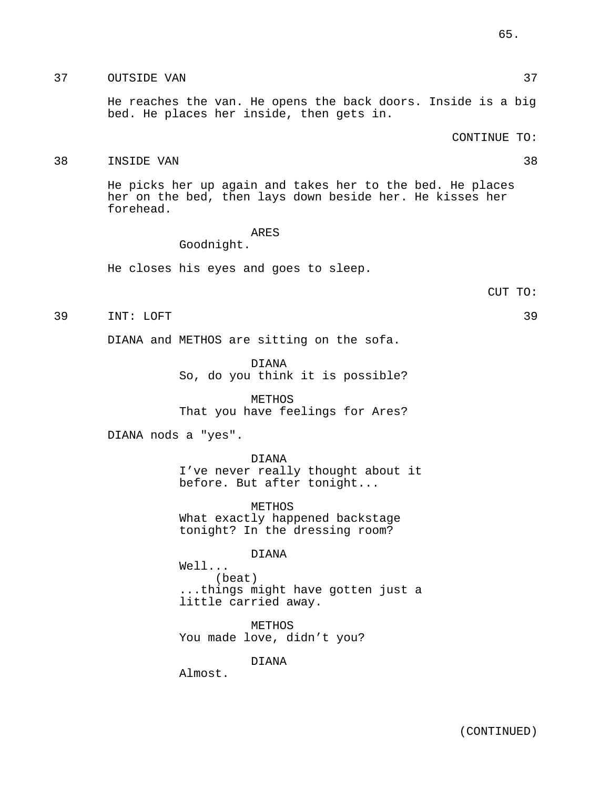# 37 OUTSIDE VAN 27 AU 1999 WAS 2009 WAS 2009 WAS 27

He reaches the van. He opens the back doors. Inside is a big bed. He places her inside, then gets in.

CONTINUE TO:

### 38 INSIDE VAN 38

He picks her up again and takes her to the bed. He places her on the bed, then lays down beside her. He kisses her forehead.

# ARES

Goodnight.

He closes his eyes and goes to sleep.

### 39 INT: LOFT 39

DIANA and METHOS are sitting on the sofa.

DIANA So, do you think it is possible?

METHOS That you have feelings for Ares?

DIANA nods a "yes".

DIANA I've never really thought about it before. But after tonight...

METHOS What exactly happened backstage tonight? In the dressing room?

### DIANA

Well... (beat) ...things might have gotten just a little carried away.

METHOS You made love, didn't you?

DIANA

Almost.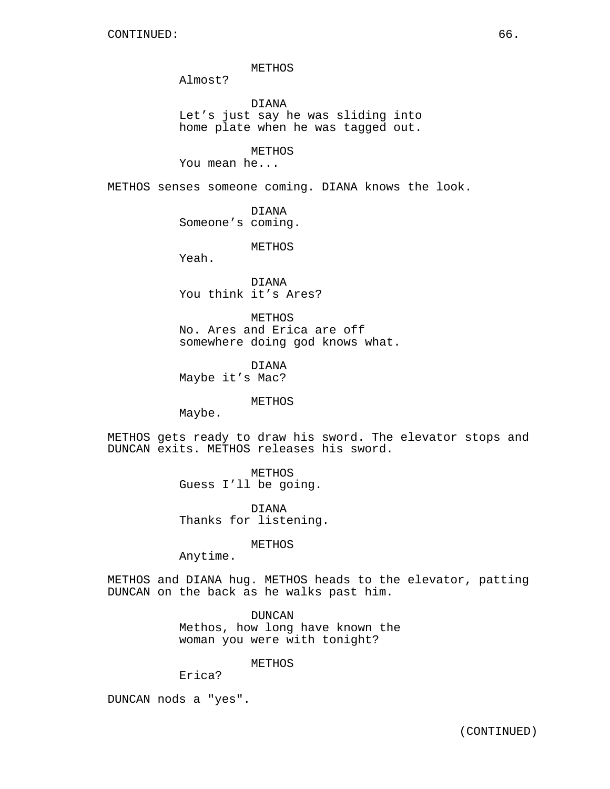METHOS

Almost?

DIANA Let's just say he was sliding into home plate when he was tagged out.

METHOS

You mean he...

METHOS senses someone coming. DIANA knows the look.

DIANA Someone's coming.

METHOS

Yeah.

DIANA You think it's Ares?

METHOS No. Ares and Erica are off somewhere doing god knows what.

DIANA Maybe it's Mac?

METHOS

Maybe.

METHOS gets ready to draw his sword. The elevator stops and DUNCAN exits. METHOS releases his sword.

> METHOS Guess I'll be going.

DIANA Thanks for listening.

METHOS

Anytime.

METHOS and DIANA hug. METHOS heads to the elevator, patting DUNCAN on the back as he walks past him.

> DUNCAN Methos, how long have known the woman you were with tonight?

> > METHOS

Erica?

DUNCAN nods a "yes".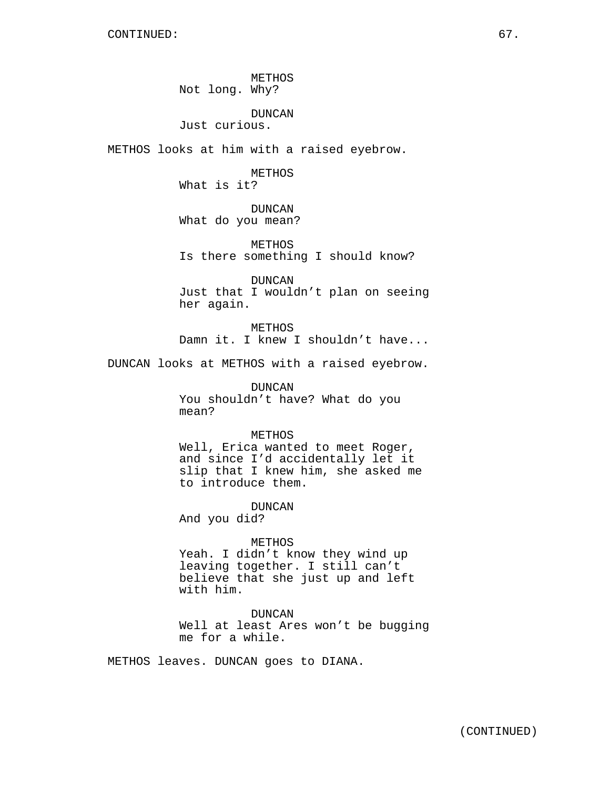METHOS Not long. Why?

### DUNCAN

Just curious.

METHOS looks at him with a raised eyebrow.

METHOS What is it?

DUNCAN What do you mean?

METHOS Is there something I should know?

DUNCAN Just that I wouldn't plan on seeing her again.

METHOS Damn it. I knew I shouldn't have...

DUNCAN looks at METHOS with a raised eyebrow.

DUNCAN You shouldn't have? What do you mean?

## METHOS

Well, Erica wanted to meet Roger, and since I'd accidentally let it slip that I knew him, she asked me to introduce them.

DUNCAN

And you did?

#### METHOS

Yeah. I didn't know they wind up leaving together. I still can't believe that she just up and left with him.

DUNCAN Well at least Ares won't be bugging me for a while.

METHOS leaves. DUNCAN goes to DIANA.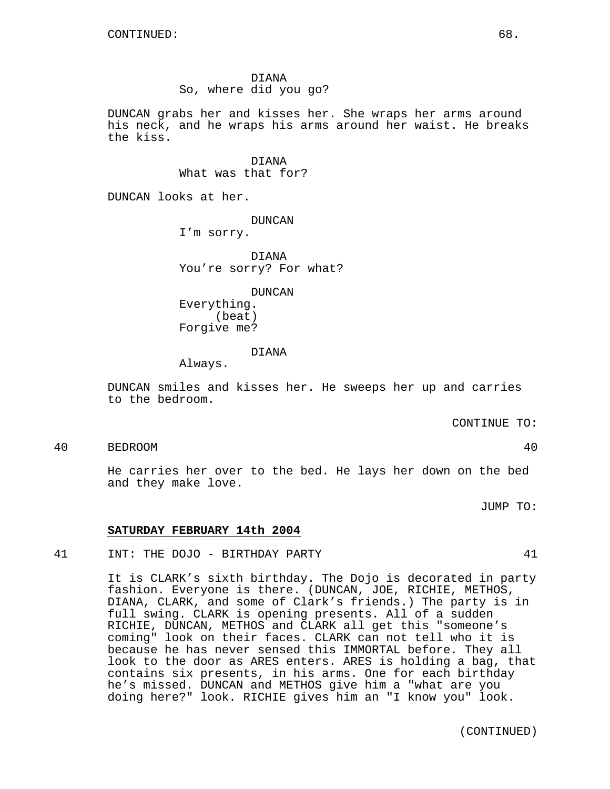### DIANA

So, where did you go?

DUNCAN grabs her and kisses her. She wraps her arms around his neck, and he wraps his arms around her waist. He breaks the kiss.

> DIANA What was that for?

DUNCAN looks at her.

DUNCAN I'm sorry.

DIANA You're sorry? For what?

DUNCAN

Everything. (beat) Forgive me?

### DIANA

Always.

DUNCAN smiles and kisses her. He sweeps her up and carries to the bedroom.

CONTINUE TO:

40 BEDROOM 40

He carries her over to the bed. He lays her down on the bed and they make love.

JUMP TO:

# **SATURDAY FEBRUARY 14th 2004**

41 INT: THE DOJO - BIRTHDAY PARTY 41

It is CLARK's sixth birthday. The Dojo is decorated in party fashion. Everyone is there. (DUNCAN, JOE, RICHIE, METHOS, DIANA, CLARK, and some of Clark's friends.) The party is in full swing. CLARK is opening presents. All of a sudden RICHIE, DUNCAN, METHOS and CLARK all get this "someone's coming" look on their faces. CLARK can not tell who it is because he has never sensed this IMMORTAL before. They all look to the door as ARES enters. ARES is holding a bag, that contains six presents, in his arms. One for each birthday he's missed. DUNCAN and METHOS give him a "what are you doing here?" look. RICHIE gives him an "I know you" look.

(CONTINUED)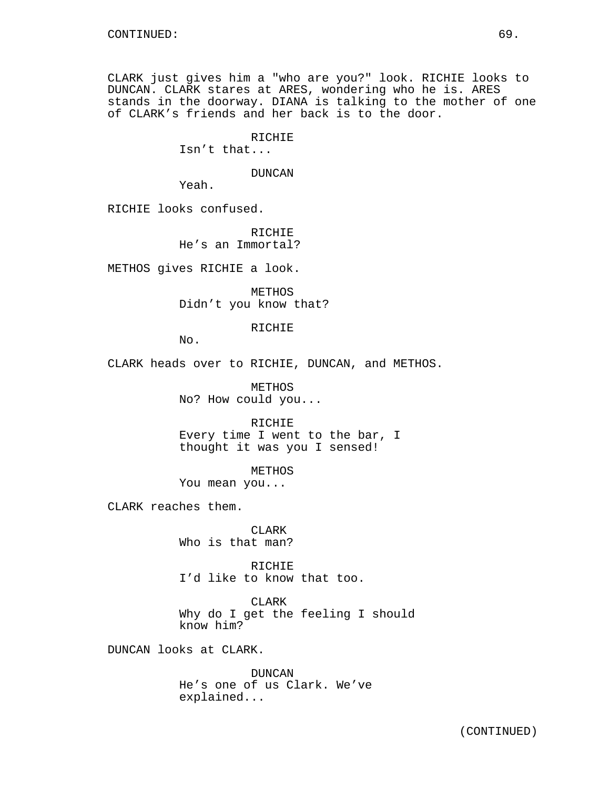CLARK just gives him a "who are you?" look. RICHIE looks to DUNCAN. CLARK stares at ARES, wondering who he is. ARES stands in the doorway. DIANA is talking to the mother of one of CLARK's friends and her back is to the door.

> RICHIE Isn't that...

> > DUNCAN

Yeah.

RICHIE looks confused.

RICHIE He's an Immortal?

METHOS gives RICHIE a look.

METHOS Didn't you know that?

RICHIE

No.

CLARK heads over to RICHIE, DUNCAN, and METHOS.

METHOS No? How could you...

RICHIE Every time I went to the bar, I thought it was you I sensed!

METHOS You mean you...

CLARK reaches them.

CLARK Who is that man?

RICHIE I'd like to know that too.

CLARK Why do I get the feeling I should know him?

DUNCAN looks at CLARK.

DUNCAN He's one of us Clark. We've explained...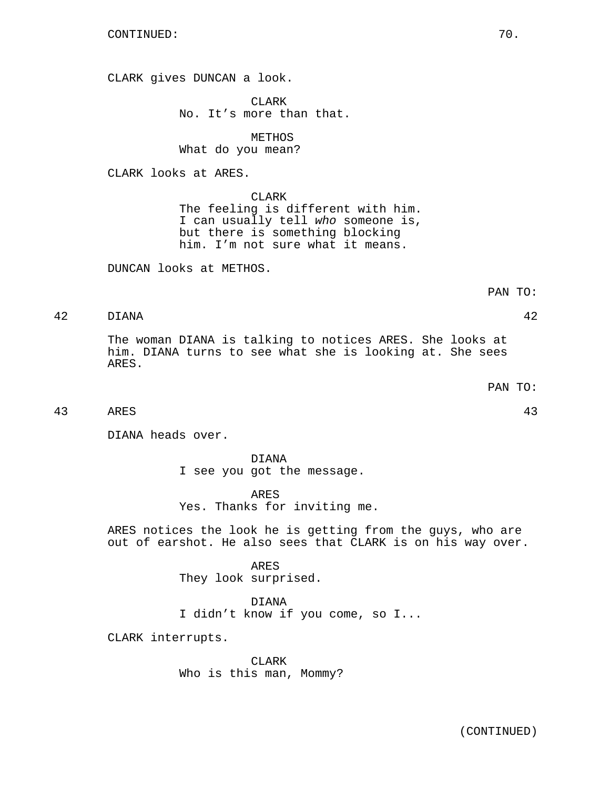CLARK gives DUNCAN a look.

CLARK No. It's more than that.

METHOS What do you mean?

CLARK looks at ARES.

CLARK The feeling is different with him. I can usually tell who someone is, but there is something blocking him. I'm not sure what it means.

DUNCAN looks at METHOS.

42 DIANA 42

The woman DIANA is talking to notices ARES. She looks at him. DIANA turns to see what she is looking at. She sees ARES.

PAN TO:

```
43 ARES 43
```
DIANA heads over.

DIANA I see you got the message.

ARES Yes. Thanks for inviting me.

ARES notices the look he is getting from the guys, who are out of earshot. He also sees that CLARK is on his way over.

> ARES They look surprised.

DIANA I didn't know if you come, so I...

CLARK interrupts.

CLARK Who is this man, Mommy?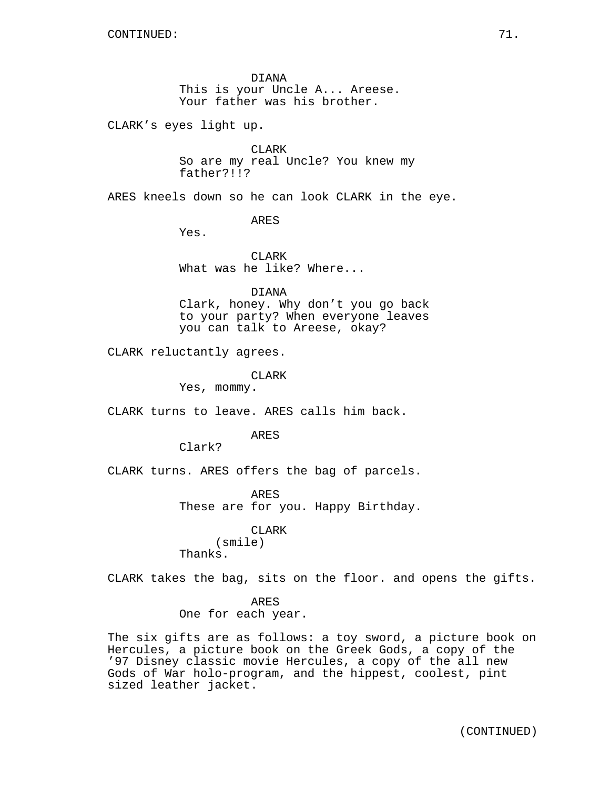DIANA This is your Uncle A... Areese. Your father was his brother.

CLARK's eyes light up.

CLARK So are my real Uncle? You knew my father?!!?

ARES kneels down so he can look CLARK in the eye.

ARES

Yes.

CLARK What was he like? Where...

### DIANA

Clark, honey. Why don't you go back to your party? When everyone leaves you can talk to Areese, okay?

CLARK reluctantly agrees.

CLARK

Yes, mommy.

CLARK turns to leave. ARES calls him back.

ARES

Clark?

CLARK turns. ARES offers the bag of parcels.

ARES These are for you. Happy Birthday.

CLARK (smile) Thanks.

CLARK takes the bag, sits on the floor. and opens the gifts.

### ARES

One for each year.

The six gifts are as follows: a toy sword, a picture book on Hercules, a picture book on the Greek Gods, a copy of the '97 Disney classic movie Hercules, a copy of the all new Gods of War holo-program, and the hippest, coolest, pint sized leather jacket.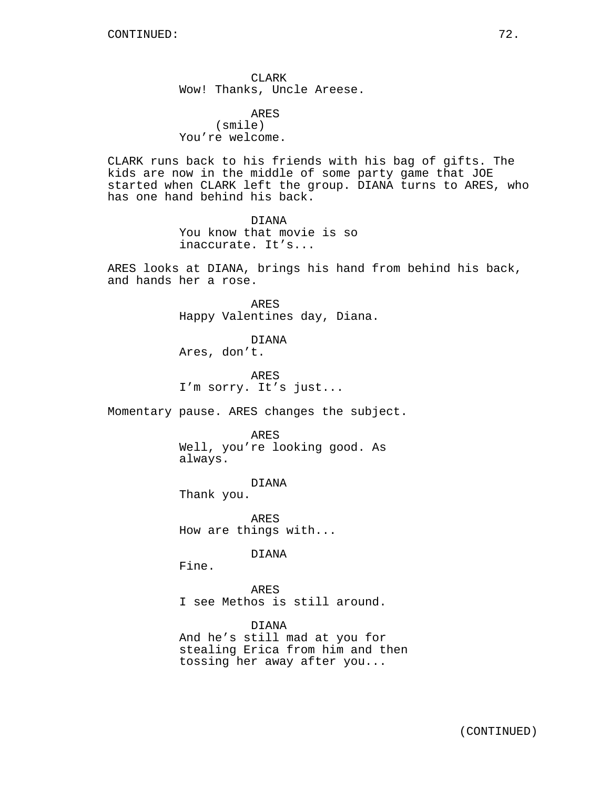CLARK Wow! Thanks, Uncle Areese.

ARES (smile) You're welcome.

CLARK runs back to his friends with his bag of gifts. The kids are now in the middle of some party game that JOE started when CLARK left the group. DIANA turns to ARES, who has one hand behind his back.

> DIANA You know that movie is so inaccurate. It's...

ARES looks at DIANA, brings his hand from behind his back, and hands her a rose.

> ARES Happy Valentines day, Diana.

DIANA Ares, don't.

ARES I'm sorry. It's just...

Momentary pause. ARES changes the subject.

ARES Well, you're looking good. As always.

DIANA Thank you.

ARES How are things with...

DIANA

Fine.

ARES I see Methos is still around.

DIANA And he's still mad at you for stealing Erica from him and then tossing her away after you...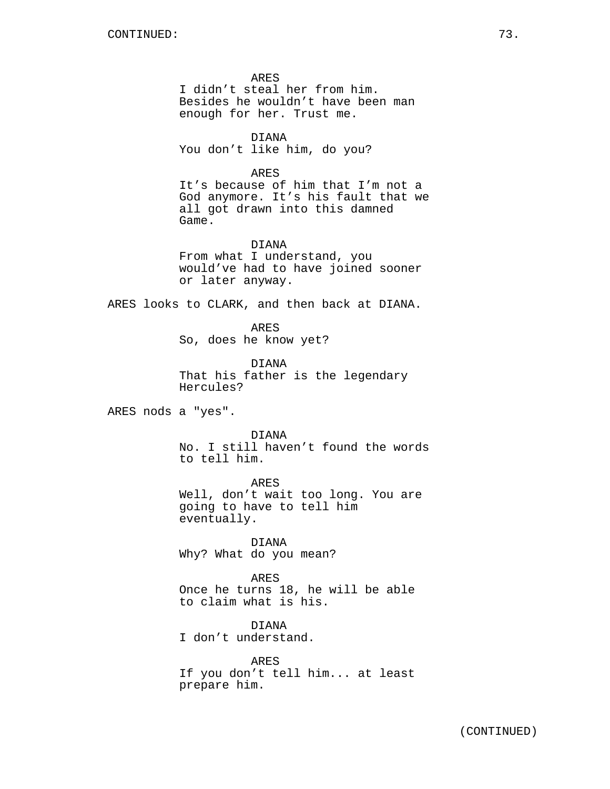ARES I didn't steal her from him. Besides he wouldn't have been man enough for her. Trust me.

DIANA You don't like him, do you?

ARES

It's because of him that I'm not a God anymore. It's his fault that we all got drawn into this damned Game.

DIANA From what I understand, you would've had to have joined sooner or later anyway.

ARES looks to CLARK, and then back at DIANA.

ARES So, does he know yet?

DIANA That his father is the legendary Hercules?

ARES nods a "yes".

DIANA

No. I still haven't found the words to tell him.

ARES Well, don't wait too long. You are going to have to tell him eventually.

DIANA Why? What do you mean?

ARES Once he turns 18, he will be able to claim what is his.

DIANA I don't understand.

ARES If you don't tell him... at least prepare him.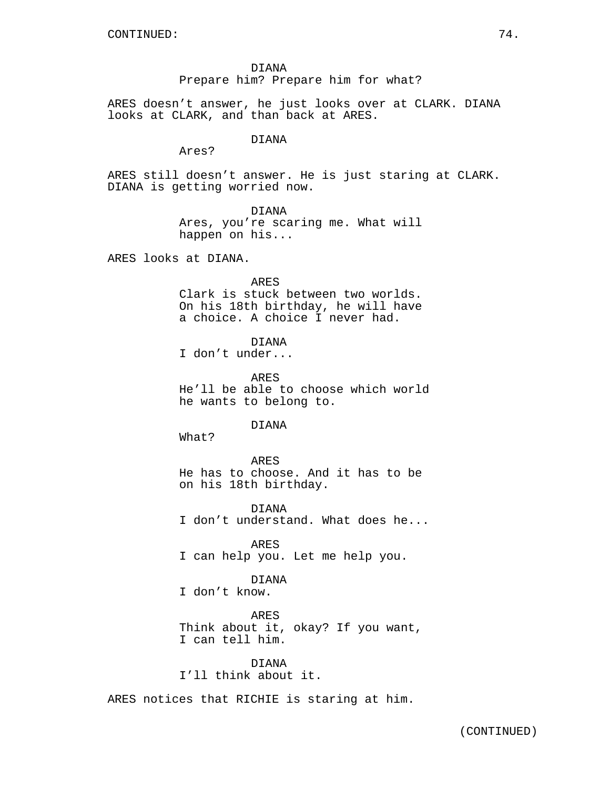DIANA Prepare him? Prepare him for what?

ARES doesn't answer, he just looks over at CLARK. DIANA looks at CLARK, and than back at ARES.

### DIANA

Ares?

ARES still doesn't answer. He is just staring at CLARK. DIANA is getting worried now.

# DIANA

Ares, you're scaring me. What will happen on his...

ARES looks at DIANA.

ARES Clark is stuck between two worlds. On his 18th birthday, he will have a choice. A choice I never had.

DIANA

I don't under...

ARES He'll be able to choose which world he wants to belong to.

### DIANA

What?

ARES He has to choose. And it has to be on his 18th birthday.

DIANA I don't understand. What does he...

ARES I can help you. Let me help you.

### DIANA

I don't know.

ARES Think about it, okay? If you want, I can tell him.

DIANA I'll think about it.

ARES notices that RICHIE is staring at him.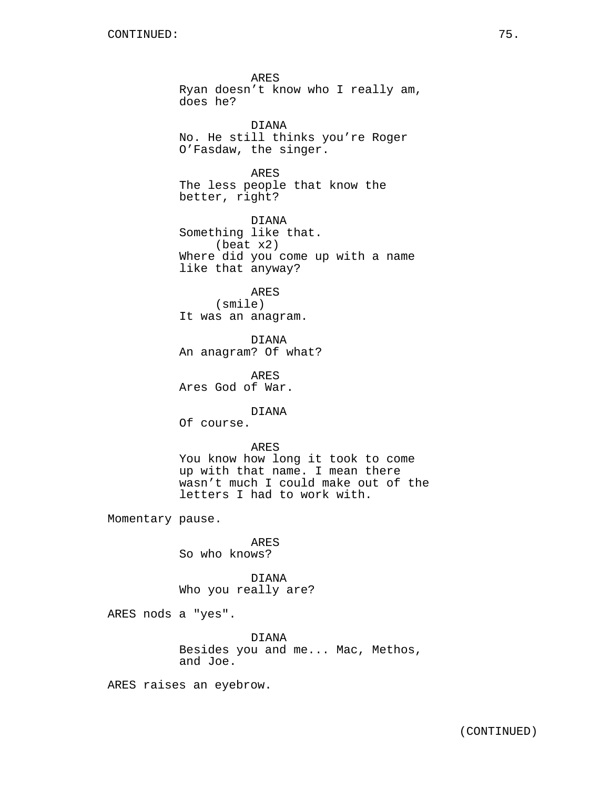ARES Ryan doesn't know who I really am, does he? DIANA No. He still thinks you're Roger O'Fasdaw, the singer. ARES The less people that know the better, right? DIANA Something like that. (beat x2) Where did you come up with a name like that anyway? ARES (smile) It was an anagram. DIANA An anagram? Of what? ARES Ares God of War. DIANA Of course. ARES You know how long it took to come up with that name. I mean there wasn't much I could make out of the letters I had to work with. Momentary pause. ARES So who knows? DIANA Who you really are?

ARES nods a "yes".

DIANA Besides you and me... Mac, Methos, and Joe.

ARES raises an eyebrow.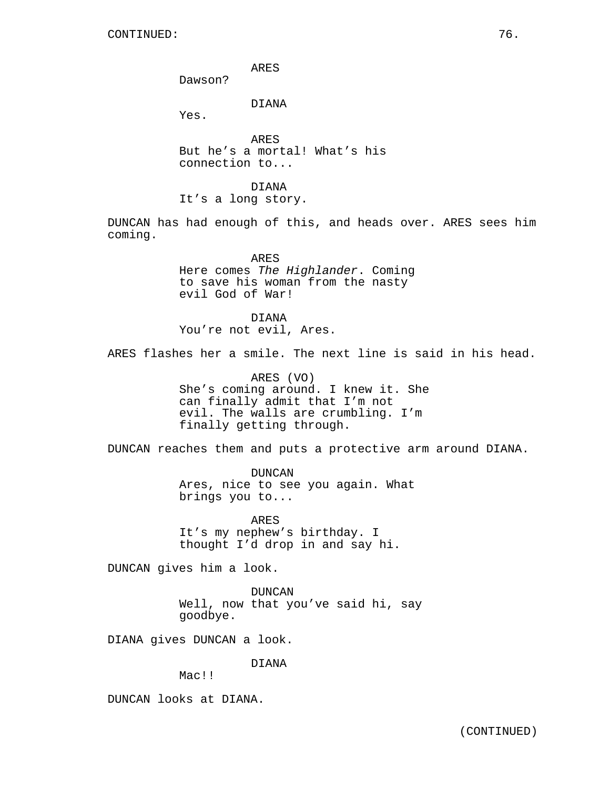ARES

Dawson?

DIANA

Yes.

ARES But he's a mortal! What's his connection to...

DIANA It's a long story.

DUNCAN has had enough of this, and heads over. ARES sees him coming.

> ARES Here comes The Highlander. Coming to save his woman from the nasty evil God of War!

DIANA You're not evil, Ares.

ARES flashes her a smile. The next line is said in his head.

ARES (VO) She's coming around. I knew it. She can finally admit that I'm not evil. The walls are crumbling. I'm finally getting through.

DUNCAN reaches them and puts a protective arm around DIANA.

DUNCAN Ares, nice to see you again. What brings you to...

ARES It's my nephew's birthday. I thought I'd drop in and say hi.

DUNCAN gives him a look.

DUNCAN Well, now that you've said hi, say goodbye.

DIANA gives DUNCAN a look.

DIANA

Mac!!

DUNCAN looks at DIANA.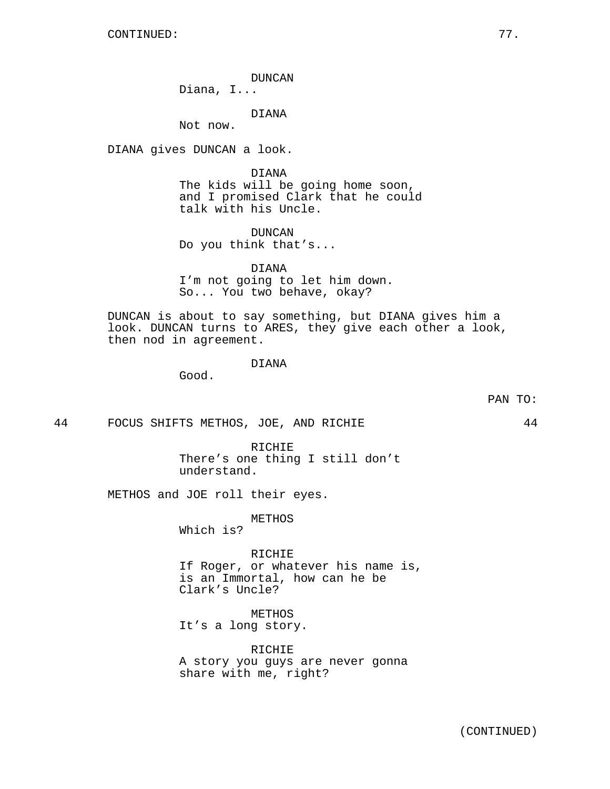DUNCAN

Diana, I...

DIANA

Not now.

DIANA gives DUNCAN a look.

DIANA The kids will be going home soon, and I promised Clark that he could talk with his Uncle.

DUNCAN Do you think that's...

DIANA I'm not going to let him down. So... You two behave, okay?

DUNCAN is about to say something, but DIANA gives him a look. DUNCAN turns to ARES, they give each other a look, then nod in agreement.

# DIANA

Good.

44 FOCUS SHIFTS METHOS, JOE, AND RICHIE 44

RICHIE There's one thing I still don't understand.

METHOS and JOE roll their eyes.

METHOS Which is?

RICHIE If Roger, or whatever his name is, is an Immortal, how can he be Clark's Uncle?

METHOS It's a long story.

RICHIE A story you guys are never gonna share with me, right?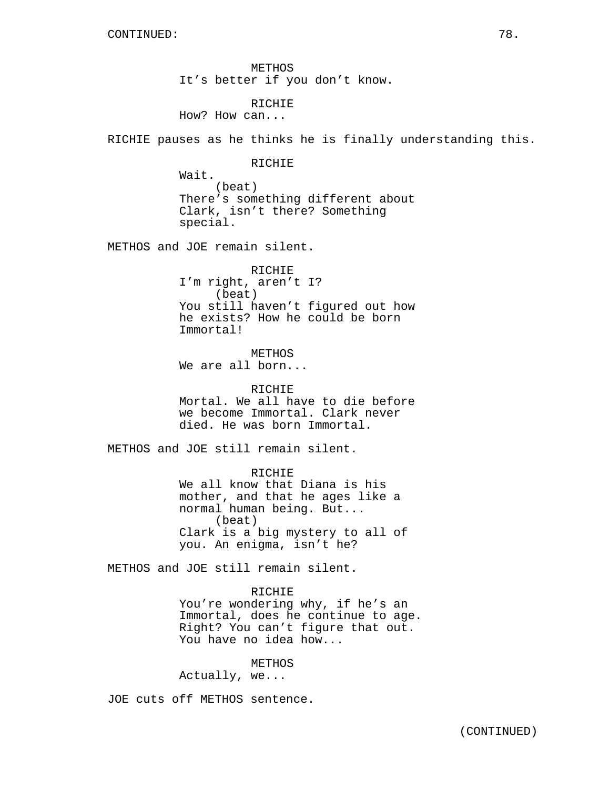METHOS It's better if you don't know.

RICHIE

How? How can...

RICHIE pauses as he thinks he is finally understanding this.

RICHIE

Wait. (beat) There's something different about Clark, isn't there? Something special.

METHOS and JOE remain silent.

RICHIE I'm right, aren't I? (beat) You still haven't figured out how he exists? How he could be born Immortal!

METHOS We are all born...

RICHIE Mortal. We all have to die before we become Immortal. Clark never died. He was born Immortal.

METHOS and JOE still remain silent.

RICHIE We all know that Diana is his mother, and that he ages like a normal human being. But... (beat) Clark is a big mystery to all of you. An enigma, isn't he?

METHOS and JOE still remain silent.

### RICHIE

You're wondering why, if he's an Immortal, does he continue to age. Right? You can't figure that out. You have no idea how...

METHOS Actually, we...

JOE cuts off METHOS sentence.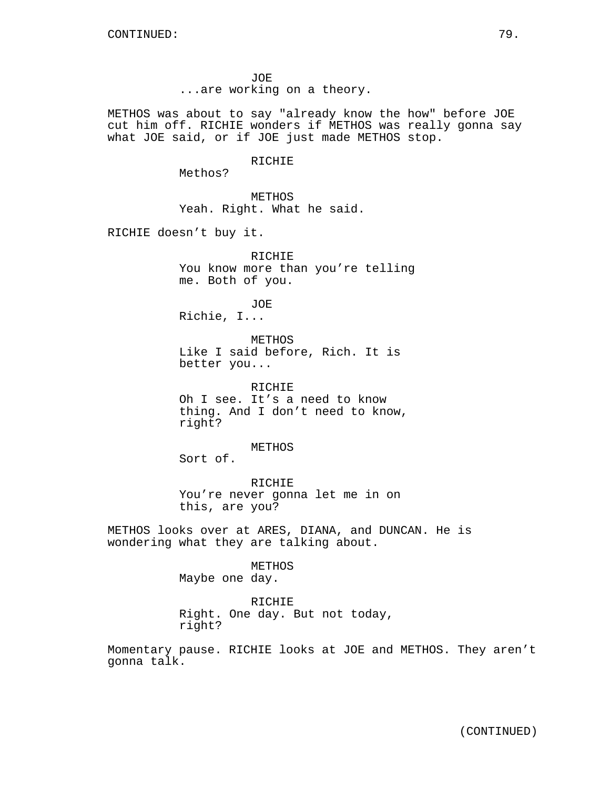JOE ...are working on a theory.

METHOS was about to say "already know the how" before JOE cut him off. RICHIE wonders if METHOS was really gonna say what JOE said, or if JOE just made METHOS stop.

# RICHIE

Methos?

METHOS Yeah. Right. What he said.

RICHIE doesn't buy it.

RICHIE You know more than you're telling me. Both of you.

JOE Richie, I...

METHOS Like I said before, Rich. It is better you...

RICHIE Oh I see. It's a need to know thing. And I don't need to know, right?

METHOS

Sort of.

RICHIE You're never gonna let me in on this, are you?

METHOS looks over at ARES, DIANA, and DUNCAN. He is wondering what they are talking about.

> METHOS Maybe one day.

RICHIE Right. One day. But not today, right?

Momentary pause. RICHIE looks at JOE and METHOS. They aren't gonna talk.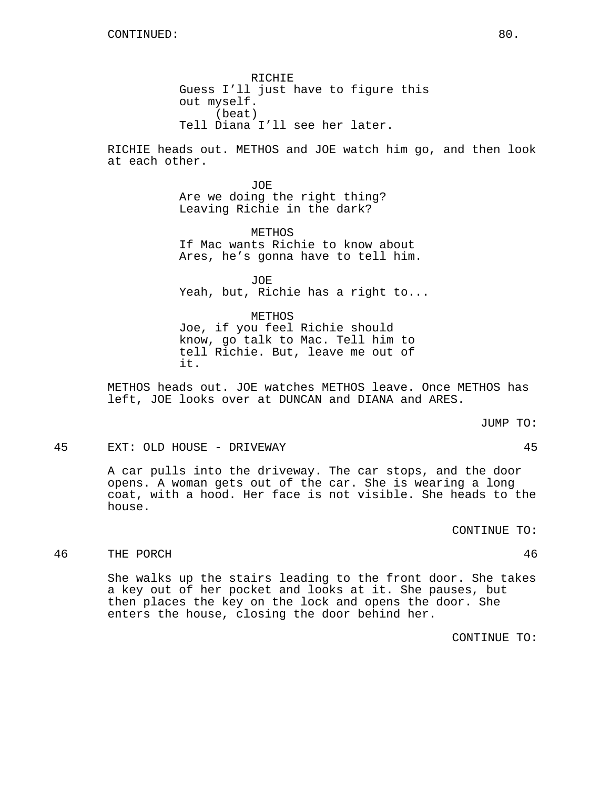RICHIE Guess I'll just have to figure this out myself. (beat) Tell Diana I'll see her later.

RICHIE heads out. METHOS and JOE watch him go, and then look at each other.

> JOE Are we doing the right thing? Leaving Richie in the dark?

METHOS If Mac wants Richie to know about Ares, he's gonna have to tell him.

JOE Yeah, but, Richie has a right to...

METHOS Joe, if you feel Richie should know, go talk to Mac. Tell him to tell Richie. But, leave me out of it.

METHOS heads out. JOE watches METHOS leave. Once METHOS has left, JOE looks over at DUNCAN and DIANA and ARES.

JUMP TO:

45 EXT: OLD HOUSE - DRIVEWAY 45

A car pulls into the driveway. The car stops, and the door opens. A woman gets out of the car. She is wearing a long coat, with a hood. Her face is not visible. She heads to the house.

CONTINUE TO:

# 46 THE PORCH 46

She walks up the stairs leading to the front door. She takes a key out of her pocket and looks at it. She pauses, but then places the key on the lock and opens the door. She enters the house, closing the door behind her.

CONTINUE TO: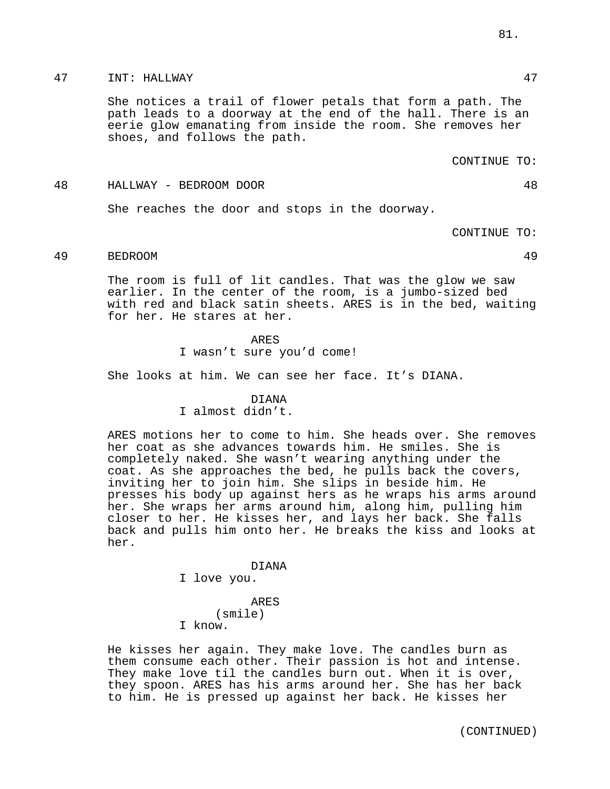# 47 INT: HALLWAY 47

She notices a trail of flower petals that form a path. The path leads to a doorway at the end of the hall. There is an eerie glow emanating from inside the room. She removes her shoes, and follows the path.

### CONTINUE TO:

#### 48 HALLWAY - BEDROOM DOOR 48

She reaches the door and stops in the doorway.

CONTINUE TO:

# 49 BEDROOM 49

The room is full of lit candles. That was the glow we saw earlier. In the center of the room, is a jumbo-sized bed with red and black satin sheets. ARES is in the bed, waiting for her. He stares at her.

### ARES

I wasn't sure you'd come!

She looks at him. We can see her face. It's DIANA.

### DIANA

I almost didn't.

ARES motions her to come to him. She heads over. She removes her coat as she advances towards him. He smiles. She is completely naked. She wasn't wearing anything under the coat. As she approaches the bed, he pulls back the covers, inviting her to join him. She slips in beside him. He presses his body up against hers as he wraps his arms around her. She wraps her arms around him, along him, pulling him closer to her. He kisses her, and lays her back. She falls back and pulls him onto her. He breaks the kiss and looks at her.

#### DIANA

I love you.

### ARES

(smile)

I know.

He kisses her again. They make love. The candles burn as them consume each other. Their passion is hot and intense. They make love til the candles burn out. When it is over, they spoon. ARES has his arms around her. She has her back to him. He is pressed up against her back. He kisses her

81.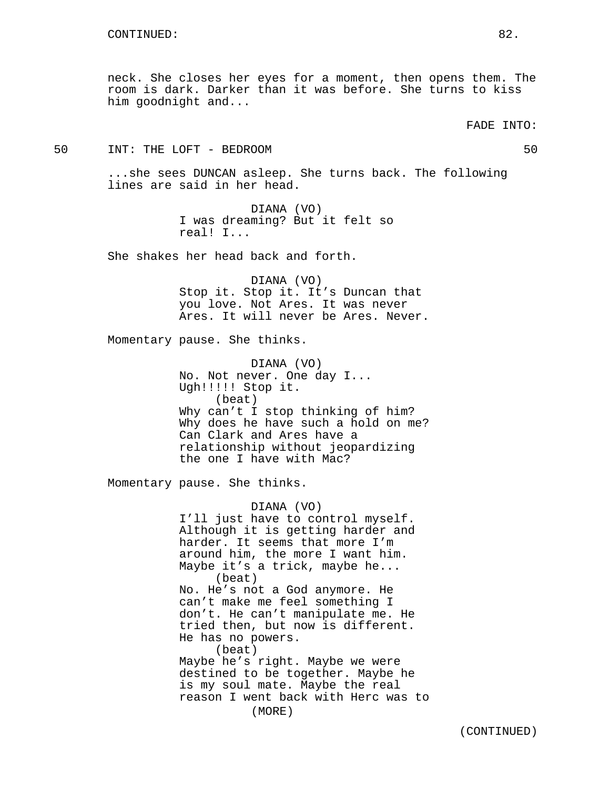neck. She closes her eyes for a moment, then opens them. The room is dark. Darker than it was before. She turns to kiss him goodnight and...

50 INT: THE LOFT - BEDROOM 50

...she sees DUNCAN asleep. She turns back. The following lines are said in her head.

> DIANA (VO) I was dreaming? But it felt so real! I...

She shakes her head back and forth.

DIANA (VO) Stop it. Stop it. It's Duncan that you love. Not Ares. It was never Ares. It will never be Ares. Never.

Momentary pause. She thinks.

DIANA (VO) No. Not never. One day I... Ugh!!!!! Stop it. (beat) Why can't I stop thinking of him? Why does he have such a hold on me? Can Clark and Ares have a relationship without jeopardizing the one I have with Mac?

Momentary pause. She thinks.

DIANA (VO) I'll just have to control myself. Although it is getting harder and harder. It seems that more I'm around him, the more I want him. Maybe it's a trick, maybe he... (beat) No. He's not a God anymore. He can't make me feel something I don't. He can't manipulate me. He tried then, but now is different. He has no powers. (beat) Maybe he's right. Maybe we were destined to be together. Maybe he is my soul mate. Maybe the real reason I went back with Herc was to (MORE)